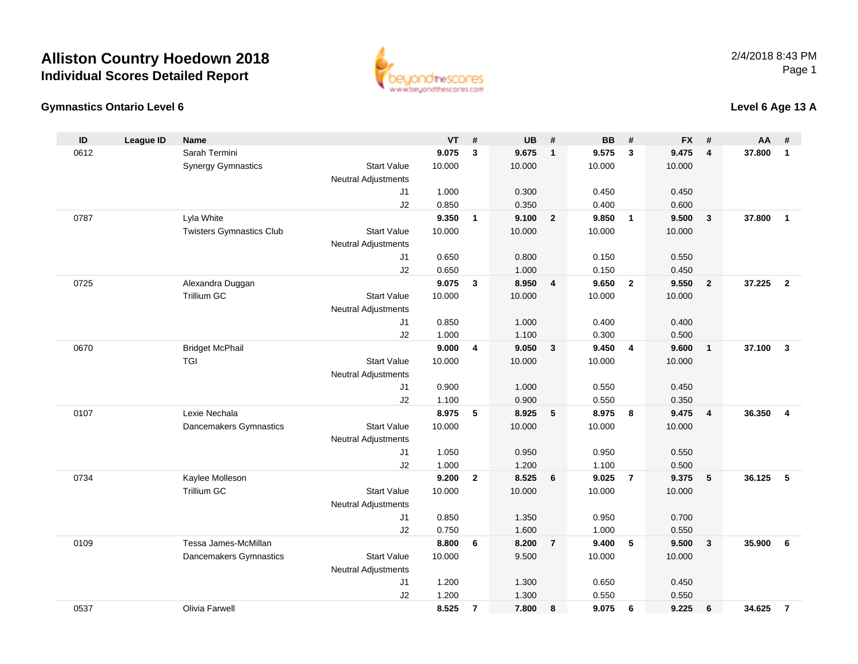

### **Gymnastics Ontario Level 6**

### **Level 6 Age 13 A**

| ID   | <b>League ID</b> | <b>Name</b>                     |                            | VT     | #              | UB     | #              | <b>BB</b> | #              | <b>FX</b> | #                       | AA     | #                       |
|------|------------------|---------------------------------|----------------------------|--------|----------------|--------|----------------|-----------|----------------|-----------|-------------------------|--------|-------------------------|
| 0612 |                  | Sarah Termini                   |                            | 9.075  | $\mathbf{3}$   | 9.675  | $\mathbf{1}$   | 9.575     | $\mathbf{3}$   | 9.475     | $\overline{4}$          | 37.800 | $\mathbf{1}$            |
|      |                  | <b>Synergy Gymnastics</b>       | <b>Start Value</b>         | 10.000 |                | 10.000 |                | 10.000    |                | 10.000    |                         |        |                         |
|      |                  |                                 | <b>Neutral Adjustments</b> |        |                |        |                |           |                |           |                         |        |                         |
|      |                  |                                 | J1                         | 1.000  |                | 0.300  |                | 0.450     |                | 0.450     |                         |        |                         |
|      |                  |                                 | J2                         | 0.850  |                | 0.350  |                | 0.400     |                | 0.600     |                         |        |                         |
| 0787 |                  | Lyla White                      |                            | 9.350  | $\mathbf{1}$   | 9.100  | $\overline{2}$ | 9.850     | $\overline{1}$ | 9.500     | $\mathbf{3}$            | 37,800 | $\mathbf{1}$            |
|      |                  | <b>Twisters Gymnastics Club</b> | <b>Start Value</b>         | 10.000 |                | 10.000 |                | 10.000    |                | 10.000    |                         |        |                         |
|      |                  |                                 | <b>Neutral Adjustments</b> |        |                |        |                |           |                |           |                         |        |                         |
|      |                  |                                 | J1                         | 0.650  |                | 0.800  |                | 0.150     |                | 0.550     |                         |        |                         |
|      |                  |                                 | J2                         | 0.650  |                | 1.000  |                | 0.150     |                | 0.450     |                         |        |                         |
| 0725 |                  | Alexandra Duggan                |                            | 9.075  | 3              | 8.950  | $\overline{4}$ | 9.650     | $\overline{2}$ | 9.550     | $\overline{2}$          | 37.225 | $\overline{2}$          |
|      |                  | <b>Trillium GC</b>              | <b>Start Value</b>         | 10.000 |                | 10.000 |                | 10.000    |                | 10.000    |                         |        |                         |
|      |                  |                                 | <b>Neutral Adjustments</b> |        |                |        |                |           |                |           |                         |        |                         |
|      |                  |                                 | J1                         | 0.850  |                | 1.000  |                | 0.400     |                | 0.400     |                         |        |                         |
|      |                  |                                 | J2                         | 1.000  |                | 1.100  |                | 0.300     |                | 0.500     |                         |        |                         |
| 0670 |                  | <b>Bridget McPhail</b>          |                            | 9.000  | 4              | 9.050  | $\mathbf{3}$   | 9.450     | $\overline{4}$ | 9.600     | $\overline{1}$          | 37.100 | $\overline{\mathbf{3}}$ |
|      |                  | <b>TGI</b>                      | <b>Start Value</b>         | 10.000 |                | 10.000 |                | 10.000    |                | 10.000    |                         |        |                         |
|      |                  |                                 | <b>Neutral Adjustments</b> |        |                |        |                |           |                |           |                         |        |                         |
|      |                  |                                 | J1                         | 0.900  |                | 1.000  |                | 0.550     |                | 0.450     |                         |        |                         |
|      |                  |                                 | J2                         | 1.100  |                | 0.900  |                | 0.550     |                | 0.350     |                         |        |                         |
| 0107 |                  | Lexie Nechala                   |                            | 8.975  | 5              | 8.925  | 5              | 8.975     | 8              | 9.475     | $\overline{4}$          | 36.350 | $\overline{\mathbf{4}}$ |
|      |                  | Dancemakers Gymnastics          | <b>Start Value</b>         | 10.000 |                | 10.000 |                | 10.000    |                | 10.000    |                         |        |                         |
|      |                  |                                 | <b>Neutral Adjustments</b> |        |                |        |                |           |                |           |                         |        |                         |
|      |                  |                                 | J1                         | 1.050  |                | 0.950  |                | 0.950     |                | 0.550     |                         |        |                         |
|      |                  |                                 | J2                         | 1.000  |                | 1.200  |                | 1.100     |                | 0.500     |                         |        |                         |
| 0734 |                  | Kaylee Molleson                 |                            | 9.200  | $\overline{2}$ | 8.525  | 6              | 9.025     | $\overline{7}$ | 9.375     | $5\phantom{.0}$         | 36.125 | 5                       |
|      |                  | Trillium GC                     | <b>Start Value</b>         | 10.000 |                | 10.000 |                | 10.000    |                | 10.000    |                         |        |                         |
|      |                  |                                 | <b>Neutral Adjustments</b> |        |                |        |                |           |                |           |                         |        |                         |
|      |                  |                                 | J <sub>1</sub>             | 0.850  |                | 1.350  |                | 0.950     |                | 0.700     |                         |        |                         |
|      |                  |                                 | J2                         | 0.750  |                | 1.600  |                | 1.000     |                | 0.550     |                         |        |                         |
| 0109 |                  | Tessa James-McMillan            |                            | 8.800  | 6              | 8.200  | $\overline{7}$ | 9.400     | 5              | 9.500     | $\overline{\mathbf{3}}$ | 35.900 | 6                       |
|      |                  | Dancemakers Gymnastics          | <b>Start Value</b>         | 10.000 |                | 9.500  |                | 10.000    |                | 10.000    |                         |        |                         |
|      |                  |                                 | <b>Neutral Adjustments</b> |        |                |        |                |           |                |           |                         |        |                         |
|      |                  |                                 | J <sub>1</sub>             | 1.200  |                | 1.300  |                | 0.650     |                | 0.450     |                         |        |                         |
|      |                  |                                 | J2                         | 1.200  |                | 1.300  |                | 0.550     |                | 0.550     |                         |        |                         |
| 0537 |                  | Olivia Farwell                  |                            | 8.525  | $\overline{7}$ | 7.800  | 8              | 9.075     | 6              | 9.225     | 6                       | 34.625 | $\overline{7}$          |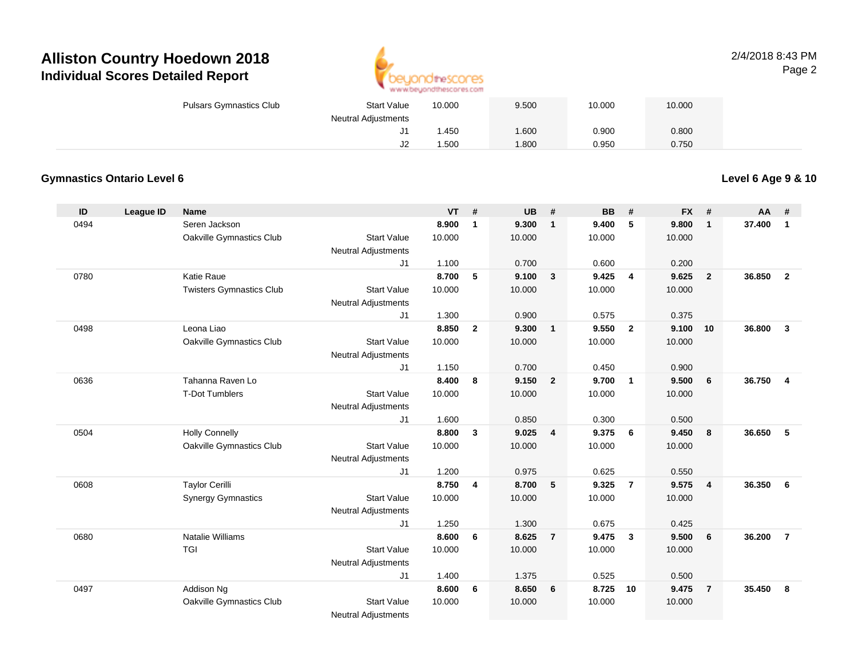

### 2/4/2018 8:43 PMPage 2

| <b>Pulsars Gymnastics Club</b> | <b>Start Value</b>  | 10.000 | 9.500 | 10.000 | 10.000 |  |
|--------------------------------|---------------------|--------|-------|--------|--------|--|
|                                | Neutral Adjustments |        |       |        |        |  |
|                                | J1                  | .450   | 1.600 | 0.900  | 0.800  |  |
|                                | J2                  | .500   | 1.800 | 0.950  | 0.750  |  |

### **Gymnastics Ontario Level 6**

**Level 6 Age 9 & 10**

| ID   | League ID | Name                            |                            | $VT$ # |                | <b>UB</b> | #              | <b>BB</b> | #              | <b>FX</b> | #                       | AA     | #              |
|------|-----------|---------------------------------|----------------------------|--------|----------------|-----------|----------------|-----------|----------------|-----------|-------------------------|--------|----------------|
| 0494 |           | Seren Jackson                   |                            | 8.900  | $\mathbf{1}$   | 9.300     | $\mathbf{1}$   | 9.400     | 5              | 9.800     | $\mathbf{1}$            | 37.400 | $\mathbf{1}$   |
|      |           | Oakville Gymnastics Club        | <b>Start Value</b>         | 10.000 |                | 10.000    |                | 10.000    |                | 10.000    |                         |        |                |
|      |           |                                 | <b>Neutral Adjustments</b> |        |                |           |                |           |                |           |                         |        |                |
|      |           |                                 | J1                         | 1.100  |                | 0.700     |                | 0.600     |                | 0.200     |                         |        |                |
| 0780 |           | Katie Raue                      |                            | 8.700  | 5              | 9.100     | $\mathbf{3}$   | 9.425     | $\overline{4}$ | 9.625     | $\overline{\mathbf{2}}$ | 36.850 | $\overline{2}$ |
|      |           | <b>Twisters Gymnastics Club</b> | <b>Start Value</b>         | 10.000 |                | 10.000    |                | 10.000    |                | 10.000    |                         |        |                |
|      |           |                                 | <b>Neutral Adjustments</b> |        |                |           |                |           |                |           |                         |        |                |
|      |           |                                 | J <sub>1</sub>             | 1.300  |                | 0.900     |                | 0.575     |                | 0.375     |                         |        |                |
| 0498 |           | Leona Liao                      |                            | 8.850  | $\overline{2}$ | 9.300     | $\mathbf{1}$   | 9.550     | $\overline{2}$ | 9.100     | 10                      | 36,800 | $\mathbf{3}$   |
|      |           | Oakville Gymnastics Club        | <b>Start Value</b>         | 10.000 |                | 10.000    |                | 10.000    |                | 10.000    |                         |        |                |
|      |           |                                 | Neutral Adjustments        |        |                |           |                |           |                |           |                         |        |                |
|      |           |                                 | J1                         | 1.150  |                | 0.700     |                | 0.450     |                | 0.900     |                         |        |                |
| 0636 |           | Tahanna Raven Lo                |                            | 8.400  | 8              | 9.150     | $\overline{2}$ | 9.700     | $\mathbf{1}$   | 9.500     | 6                       | 36.750 | $\overline{4}$ |
|      |           | <b>T-Dot Tumblers</b>           | <b>Start Value</b>         | 10.000 |                | 10.000    |                | 10.000    |                | 10.000    |                         |        |                |
|      |           |                                 | <b>Neutral Adjustments</b> |        |                |           |                |           |                |           |                         |        |                |
|      |           |                                 | J1                         | 1.600  |                | 0.850     |                | 0.300     |                | 0.500     |                         |        |                |
| 0504 |           | <b>Holly Connelly</b>           |                            | 8.800  | 3              | 9.025     | $\overline{4}$ | 9.375     | 6              | 9.450     | - 8                     | 36.650 | 5              |
|      |           | Oakville Gymnastics Club        | <b>Start Value</b>         | 10.000 |                | 10.000    |                | 10.000    |                | 10.000    |                         |        |                |
|      |           |                                 | <b>Neutral Adjustments</b> |        |                |           |                |           |                |           |                         |        |                |
|      |           |                                 | J1                         | 1.200  |                | 0.975     |                | 0.625     |                | 0.550     |                         |        |                |
| 0608 |           | <b>Taylor Cerilli</b>           |                            | 8.750  | $\overline{4}$ | 8.700     | 5              | 9.325     | $\overline{7}$ | 9.575     | $\overline{4}$          | 36.350 | 6              |
|      |           | <b>Synergy Gymnastics</b>       | <b>Start Value</b>         | 10.000 |                | 10.000    |                | 10.000    |                | 10.000    |                         |        |                |
|      |           |                                 | <b>Neutral Adjustments</b> |        |                |           |                |           |                |           |                         |        |                |
|      |           |                                 | J1                         | 1.250  |                | 1.300     |                | 0.675     |                | 0.425     |                         |        |                |
| 0680 |           | <b>Natalie Williams</b>         |                            | 8.600  | 6              | 8.625     | $\overline{7}$ | 9.475     | $\mathbf{3}$   | 9.500     | 6                       | 36.200 | $\overline{7}$ |
|      |           | <b>TGI</b>                      | <b>Start Value</b>         | 10.000 |                | 10.000    |                | 10.000    |                | 10.000    |                         |        |                |
|      |           |                                 | <b>Neutral Adjustments</b> |        |                |           |                |           |                |           |                         |        |                |
|      |           |                                 | J1                         | 1.400  |                | 1.375     |                | 0.525     |                | 0.500     |                         |        |                |
| 0497 |           | Addison Ng                      |                            | 8.600  | 6              | 8.650     | 6              | 8.725     | 10             | 9.475     | $\overline{7}$          | 35.450 | 8              |
|      |           | Oakville Gymnastics Club        | <b>Start Value</b>         | 10.000 |                | 10.000    |                | 10.000    |                | 10.000    |                         |        |                |
|      |           |                                 | <b>Neutral Adjustments</b> |        |                |           |                |           |                |           |                         |        |                |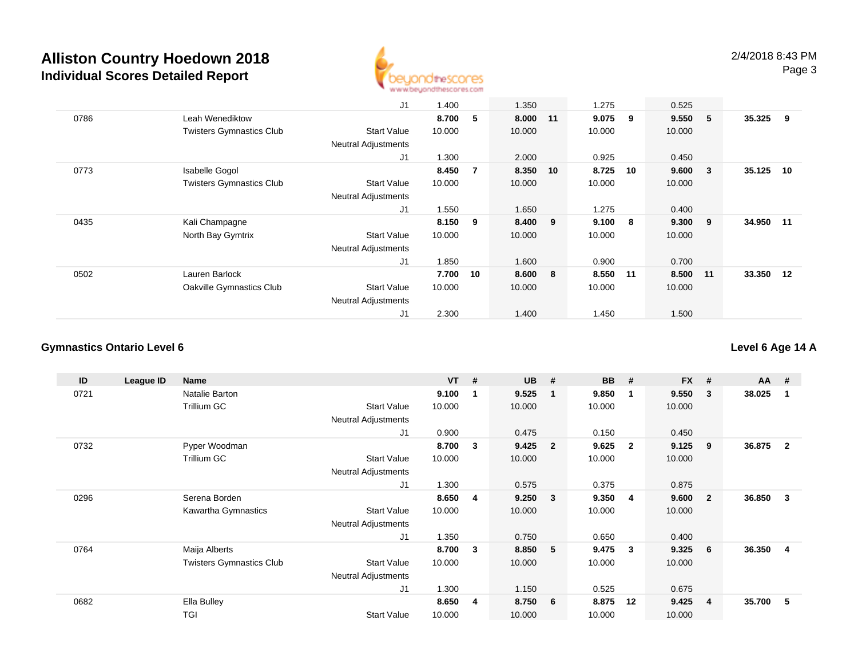

|      |                                 | J1                         | 1.400  |                | 1.350    |    | 1.275  |       | 0.525    |                         |        |    |
|------|---------------------------------|----------------------------|--------|----------------|----------|----|--------|-------|----------|-------------------------|--------|----|
|      |                                 |                            |        |                |          |    |        |       |          |                         |        |    |
| 0786 | Leah Wenediktow                 |                            | 8.700  | 5              | 8.000 11 |    | 9.075  | 9     | 9.550    | - 5                     | 35.325 | 9  |
|      | <b>Twisters Gymnastics Club</b> | <b>Start Value</b>         | 10.000 |                | 10.000   |    | 10.000 |       | 10.000   |                         |        |    |
|      |                                 | <b>Neutral Adjustments</b> |        |                |          |    |        |       |          |                         |        |    |
|      |                                 | J <sub>1</sub>             | 1.300  |                | 2.000    |    | 0.925  |       | 0.450    |                         |        |    |
| 0773 | <b>Isabelle Gogol</b>           |                            | 8.450  | $\overline{7}$ | 8.350    | 10 | 8.725  | 10    | 9.600    | $\overline{\mathbf{3}}$ | 35.125 | 10 |
|      | <b>Twisters Gymnastics Club</b> | <b>Start Value</b>         | 10.000 |                | 10.000   |    | 10.000 |       | 10.000   |                         |        |    |
|      |                                 | <b>Neutral Adjustments</b> |        |                |          |    |        |       |          |                         |        |    |
|      |                                 | J1                         | 1.550  |                | 1.650    |    | 1.275  |       | 0.400    |                         |        |    |
| 0435 | Kali Champagne                  |                            | 8.150  | 9              | 8.400 9  |    | 9.100  | - 8   | 9.300    | - 9                     | 34.950 | 11 |
|      | North Bay Gymtrix               | <b>Start Value</b>         | 10.000 |                | 10.000   |    | 10.000 |       | 10.000   |                         |        |    |
|      |                                 | Neutral Adjustments        |        |                |          |    |        |       |          |                         |        |    |
|      |                                 | J1                         | 1.850  |                | 1.600    |    | 0.900  |       | 0.700    |                         |        |    |
| 0502 | Lauren Barlock                  |                            | 7.700  | 10             | 8.600 8  |    | 8.550  | $-11$ | 8.500 11 |                         | 33.350 | 12 |
|      | Oakville Gymnastics Club        | <b>Start Value</b>         | 10.000 |                | 10.000   |    | 10.000 |       | 10.000   |                         |        |    |
|      |                                 | <b>Neutral Adjustments</b> |        |                |          |    |        |       |          |                         |        |    |
|      |                                 | J <sub>1</sub>             | 2.300  |                | 1.400    |    | 1.450  |       | 1.500    |                         |        |    |

### **Gymnastics Ontario Level 6**

**Level 6 Age 14 A**

| ID   | League ID | <b>Name</b>                     |                            | <b>VT</b> | #            | <b>UB</b> | #                       | <b>BB</b> | #            | <b>FX</b> | #              | $AA$ # |                |
|------|-----------|---------------------------------|----------------------------|-----------|--------------|-----------|-------------------------|-----------|--------------|-----------|----------------|--------|----------------|
| 0721 |           | Natalie Barton                  |                            | 9.100     |              | 9.525     | $\mathbf{1}$            | 9.850     | -1           | 9.550     | 3              | 38.025 | -1             |
|      |           | Trillium GC                     | <b>Start Value</b>         | 10.000    |              | 10.000    |                         | 10.000    |              | 10.000    |                |        |                |
|      |           |                                 | Neutral Adjustments        |           |              |           |                         |           |              |           |                |        |                |
|      |           |                                 | J1                         | 0.900     |              | 0.475     |                         | 0.150     |              | 0.450     |                |        |                |
| 0732 |           | Pyper Woodman                   |                            | 8.700     | $\mathbf{3}$ | 9.425     | $\overline{\mathbf{2}}$ | 9.625     | $\mathbf{2}$ | 9.125     | 9              | 36.875 | $\overline{2}$ |
|      |           | Trillium GC                     | <b>Start Value</b>         | 10.000    |              | 10.000    |                         | 10.000    |              | 10.000    |                |        |                |
|      |           |                                 | Neutral Adjustments        |           |              |           |                         |           |              |           |                |        |                |
|      |           |                                 | J1                         | 1.300     |              | 0.575     |                         | 0.375     |              | 0.875     |                |        |                |
| 0296 |           | Serena Borden                   |                            | 8.650     | 4            | 9.250     | $\overline{\mathbf{3}}$ | 9.350     | 4            | 9.600     | $\overline{2}$ | 36.850 | 3              |
|      |           | Kawartha Gymnastics             | <b>Start Value</b>         | 10.000    |              | 10.000    |                         | 10.000    |              | 10.000    |                |        |                |
|      |           |                                 | <b>Neutral Adjustments</b> |           |              |           |                         |           |              |           |                |        |                |
|      |           |                                 | J1                         | 1.350     |              | 0.750     |                         | 0.650     |              | 0.400     |                |        |                |
| 0764 |           | Maija Alberts                   |                            | 8.700     | $\mathbf{3}$ | 8.850     | -5                      | 9.475     | 3            | 9.325     | 6              | 36.350 | 4              |
|      |           | <b>Twisters Gymnastics Club</b> | <b>Start Value</b>         | 10.000    |              | 10.000    |                         | 10.000    |              | 10.000    |                |        |                |
|      |           |                                 | <b>Neutral Adjustments</b> |           |              |           |                         |           |              |           |                |        |                |
|      |           |                                 | J1                         | 1.300     |              | 1.150     |                         | 0.525     |              | 0.675     |                |        |                |
| 0682 |           | Ella Bulley                     |                            | 8.650     | 4            | 8.750     | - 6                     | 8.875     | 12           | 9.425     | 4              | 35.700 | 5              |
|      |           | <b>TGI</b>                      | <b>Start Value</b>         | 10.000    |              | 10.000    |                         | 10.000    |              | 10.000    |                |        |                |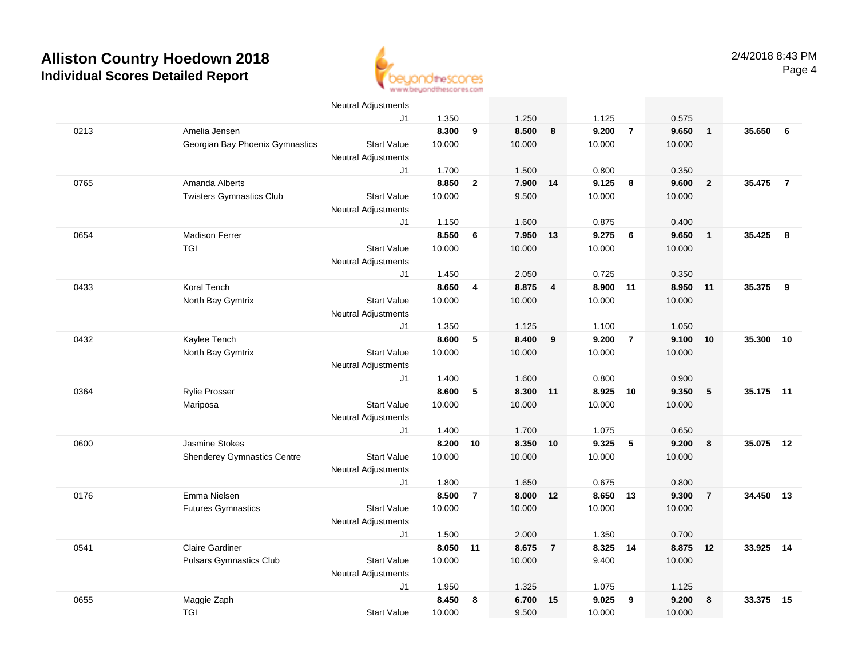

|      |                                    | <b>Neutral Adjustments</b>       |                 |                         |                   |                |                 |                |                 |                |           |                |
|------|------------------------------------|----------------------------------|-----------------|-------------------------|-------------------|----------------|-----------------|----------------|-----------------|----------------|-----------|----------------|
|      |                                    | J1                               | 1.350           |                         | 1.250             |                | 1.125           |                | 0.575           |                |           |                |
| 0213 | Amelia Jensen                      |                                  | 8.300           | 9                       | 8.500             | 8              | 9.200           | $\overline{7}$ | 9.650           | $\mathbf{1}$   | 35.650    | 6              |
|      | Georgian Bay Phoenix Gymnastics    | <b>Start Value</b>               | 10.000          |                         | 10.000            |                | 10.000          |                | 10.000          |                |           |                |
|      |                                    | <b>Neutral Adjustments</b>       |                 |                         |                   |                |                 |                |                 |                |           |                |
|      |                                    | J1                               | 1.700           |                         | 1.500             |                | 0.800           |                | 0.350           |                |           |                |
| 0765 | Amanda Alberts                     |                                  | 8.850           | $\overline{\mathbf{2}}$ | 7.900             | 14             | 9.125           | 8              | 9.600           | $\overline{2}$ | 35.475    | $\overline{7}$ |
|      | <b>Twisters Gymnastics Club</b>    | <b>Start Value</b>               | 10.000          |                         | 9.500             |                | 10.000          |                | 10.000          |                |           |                |
|      |                                    | <b>Neutral Adjustments</b>       |                 |                         |                   |                |                 |                |                 |                |           |                |
|      |                                    | J1                               | 1.150           |                         | 1.600             |                | 0.875           |                | 0.400           |                |           |                |
| 0654 | <b>Madison Ferrer</b>              |                                  | 8.550           | 6                       | 7.950             | 13             | 9.275           | 6              | 9.650           | $\overline{1}$ | 35.425    | 8              |
|      | TGI                                | <b>Start Value</b>               | 10.000          |                         | 10.000            |                | 10.000          |                | 10.000          |                |           |                |
|      |                                    | <b>Neutral Adjustments</b>       |                 |                         |                   |                |                 |                |                 |                |           |                |
|      |                                    | J1                               | 1.450           |                         | 2.050             |                | 0.725           |                | 0.350           |                |           |                |
| 0433 | <b>Koral Tench</b>                 |                                  | 8.650           | 4                       | 8.875             | $\overline{4}$ | 8.900           | 11             | 8.950           | 11             | 35.375    | 9              |
|      | North Bay Gymtrix                  | <b>Start Value</b>               | 10.000          |                         | 10.000            |                | 10.000          |                | 10.000          |                |           |                |
|      |                                    | <b>Neutral Adjustments</b>       |                 |                         |                   |                |                 |                |                 |                |           |                |
|      |                                    | J1                               | 1.350           |                         | 1.125             |                | 1.100           |                | 1.050           |                |           |                |
| 0432 | Kaylee Tench                       |                                  | 8.600           | 5                       | 8.400             | 9              | 9.200           | $\overline{7}$ | 9.100           | 10             | 35.300    | 10             |
|      | North Bay Gymtrix                  | <b>Start Value</b>               | 10.000          |                         | 10.000            |                | 10.000          |                | 10.000          |                |           |                |
|      |                                    | <b>Neutral Adjustments</b>       |                 |                         |                   |                |                 |                |                 |                |           |                |
|      |                                    | J1                               | 1.400           |                         | 1.600             |                | 0.800           |                | 0.900           |                |           |                |
| 0364 | <b>Rylie Prosser</b>               |                                  | 8.600           | 5                       | 8.300 11          |                | 8.925           | 10             | 9.350           | 5              | 35.175 11 |                |
|      | Mariposa                           | <b>Start Value</b>               | 10.000          |                         | 10.000            |                | 10.000          |                | 10.000          |                |           |                |
|      |                                    | <b>Neutral Adjustments</b>       |                 |                         |                   |                |                 |                |                 |                |           |                |
|      | Jasmine Stokes                     | J1                               | 1.400           |                         | 1.700<br>8.350 10 |                | 1.075           | 5              | 0.650           | 8              |           |                |
| 0600 |                                    | <b>Start Value</b>               | 8.200<br>10.000 | 10                      | 10.000            |                | 9.325<br>10.000 |                | 9.200<br>10.000 |                | 35.075    | 12             |
|      | <b>Shenderey Gymnastics Centre</b> |                                  |                 |                         |                   |                |                 |                |                 |                |           |                |
|      |                                    | <b>Neutral Adjustments</b><br>J1 | 1.800           |                         | 1.650             |                | 0.675           |                | 0.800           |                |           |                |
| 0176 | Emma Nielsen                       |                                  | 8.500           | $\overline{7}$          | 8.000             | 12             | 8.650 13        |                | 9.300           | $\overline{7}$ | 34.450    | 13             |
|      | <b>Futures Gymnastics</b>          | <b>Start Value</b>               | 10.000          |                         | 10.000            |                | 10.000          |                | 10.000          |                |           |                |
|      |                                    | <b>Neutral Adjustments</b>       |                 |                         |                   |                |                 |                |                 |                |           |                |
|      |                                    | J1                               | 1.500           |                         | 2.000             |                | 1.350           |                | 0.700           |                |           |                |
| 0541 | <b>Claire Gardiner</b>             |                                  | 8.050           | 11                      | 8.675             | $\overline{7}$ | 8.325 14        |                | 8.875           | 12             | 33.925    | 14             |
|      | <b>Pulsars Gymnastics Club</b>     | <b>Start Value</b>               | 10.000          |                         | 10.000            |                | 9.400           |                | 10.000          |                |           |                |
|      |                                    | <b>Neutral Adjustments</b>       |                 |                         |                   |                |                 |                |                 |                |           |                |
|      |                                    | J1                               | 1.950           |                         | 1.325             |                | 1.075           |                | 1.125           |                |           |                |
| 0655 | Maggie Zaph                        |                                  | 8.450           | 8                       | 6.700             | 15             | 9.025           | 9              | 9.200           | 8              | 33.375    | 15             |
|      | TGI                                | <b>Start Value</b>               | 10.000          |                         | 9.500             |                | 10.000          |                | 10.000          |                |           |                |
|      |                                    |                                  |                 |                         |                   |                |                 |                |                 |                |           |                |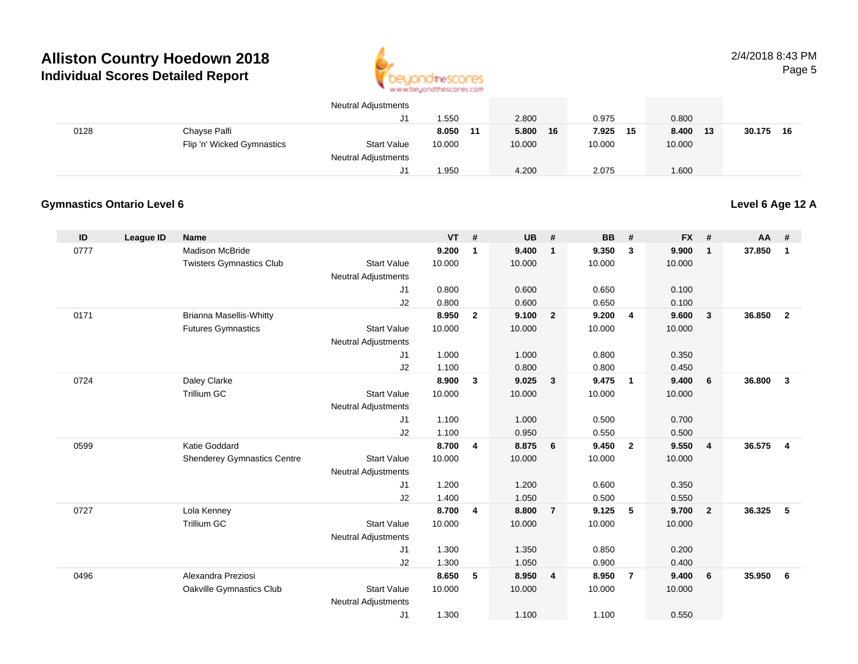

|      |                            | <b>Neutral Adjustments</b> |        |    |        |    |        |      |        |    |           |  |
|------|----------------------------|----------------------------|--------|----|--------|----|--------|------|--------|----|-----------|--|
|      |                            | J1                         | 1.550  |    | 2.800  |    | 0.975  |      | 0.800  |    |           |  |
| 0128 | Chayse Palfi               |                            | 8.050  | 11 | 5.800  | 16 | 7.925  | - 15 | 8.400  | 13 | 30.175 16 |  |
|      | Flip 'n' Wicked Gymnastics | <b>Start Value</b>         | 10.000 |    | 10.000 |    | 10.000 |      | 10.000 |    |           |  |
|      |                            | <b>Neutral Adjustments</b> |        |    |        |    |        |      |        |    |           |  |
|      |                            | <sup>14</sup> ل            | 1.950  |    | 4.200  |    | 2.075  |      | 1.600  |    |           |  |

### **Gymnastics Ontario Level 6**

**Level 6 Age 12 A**

| ID   | League ID | <b>Name</b>                        |                            | <b>VT</b>      | #              | <b>UB</b>      | #              | <b>BB</b>      | #              | <b>FX</b>      | #                       | AA     | #              |
|------|-----------|------------------------------------|----------------------------|----------------|----------------|----------------|----------------|----------------|----------------|----------------|-------------------------|--------|----------------|
| 0777 |           | <b>Madison McBride</b>             |                            | 9.200          | $\mathbf{1}$   | 9.400          | $\mathbf{1}$   | 9.350          | $\mathbf{3}$   | 9.900          | $\overline{1}$          | 37.850 | $\mathbf{1}$   |
|      |           | <b>Twisters Gymnastics Club</b>    | <b>Start Value</b>         | 10.000         |                | 10.000         |                | 10.000         |                | 10.000         |                         |        |                |
|      |           |                                    | <b>Neutral Adjustments</b> |                |                |                |                |                |                |                |                         |        |                |
|      |           |                                    | J1                         | 0.800          |                | 0.600          |                | 0.650          |                | 0.100          |                         |        |                |
|      |           |                                    | J2                         | 0.800          |                | 0.600          |                | 0.650          |                | 0.100          |                         |        |                |
| 0171 |           | <b>Brianna Masellis-Whitty</b>     |                            | 8.950          | $\overline{2}$ | 9.100          | $\overline{2}$ | 9.200          | 4              | 9.600          | $\mathbf{3}$            | 36.850 | $\overline{2}$ |
|      |           | <b>Futures Gymnastics</b>          | <b>Start Value</b>         | 10.000         |                | 10.000         |                | 10.000         |                | 10.000         |                         |        |                |
|      |           |                                    | <b>Neutral Adjustments</b> |                |                |                |                |                |                |                |                         |        |                |
|      |           |                                    | J1<br>J2                   | 1.000<br>1.100 |                | 1.000<br>0.800 |                | 0.800<br>0.800 |                | 0.350<br>0.450 |                         |        |                |
| 0724 |           | Daley Clarke                       |                            | 8.900          | $\mathbf{3}$   | 9.025          | $\mathbf{3}$   | 9.475          | $\mathbf{1}$   | 9.400          | 6                       | 36,800 | $\mathbf{3}$   |
|      |           | <b>Trillium GC</b>                 | <b>Start Value</b>         | 10.000         |                | 10.000         |                | 10.000         |                | 10.000         |                         |        |                |
|      |           |                                    | <b>Neutral Adjustments</b> |                |                |                |                |                |                |                |                         |        |                |
|      |           |                                    | J1                         | 1.100          |                | 1.000          |                | 0.500          |                | 0.700          |                         |        |                |
|      |           |                                    | J2                         | 1.100          |                | 0.950          |                | 0.550          |                | 0.500          |                         |        |                |
| 0599 |           | Katie Goddard                      |                            | 8.700          | 4              | 8.875          | 6              | 9.450          | $\overline{2}$ | 9.550          | $\overline{4}$          | 36.575 | 4              |
|      |           | <b>Shenderey Gymnastics Centre</b> | <b>Start Value</b>         | 10.000         |                | 10.000         |                | 10.000         |                | 10.000         |                         |        |                |
|      |           |                                    | <b>Neutral Adjustments</b> |                |                |                |                |                |                |                |                         |        |                |
|      |           |                                    | J1                         | 1.200          |                | 1.200          |                | 0.600          |                | 0.350          |                         |        |                |
|      |           |                                    | J2                         | 1.400          |                | 1.050          |                | 0.500          |                | 0.550          |                         |        |                |
| 0727 |           | Lola Kenney                        |                            | 8.700          | 4              | 8.800          | $\overline{7}$ | 9.125          | 5              | 9.700          | $\overline{\mathbf{2}}$ | 36.325 | 5              |
|      |           | <b>Trillium GC</b>                 | <b>Start Value</b>         | 10.000         |                | 10.000         |                | 10.000         |                | 10.000         |                         |        |                |
|      |           |                                    | <b>Neutral Adjustments</b> |                |                |                |                |                |                |                |                         |        |                |
|      |           |                                    | J1                         | 1.300          |                | 1.350          |                | 0.850          |                | 0.200          |                         |        |                |
|      |           |                                    | J2                         | 1.300          |                | 1.050          |                | 0.900          |                | 0.400          |                         |        |                |
| 0496 |           | Alexandra Preziosi                 |                            | 8.650          | 5              | 8.950          | 4              | 8.950          | $\overline{7}$ | 9.400          | 6                       | 35.950 | - 6            |
|      |           | Oakville Gymnastics Club           | <b>Start Value</b>         | 10.000         |                | 10.000         |                | 10.000         |                | 10.000         |                         |        |                |
|      |           |                                    | <b>Neutral Adjustments</b> | 1.300          |                | 1.100          |                | 1.100          |                |                |                         |        |                |
|      |           |                                    | J <sub>1</sub>             |                |                |                |                |                |                | 0.550          |                         |        |                |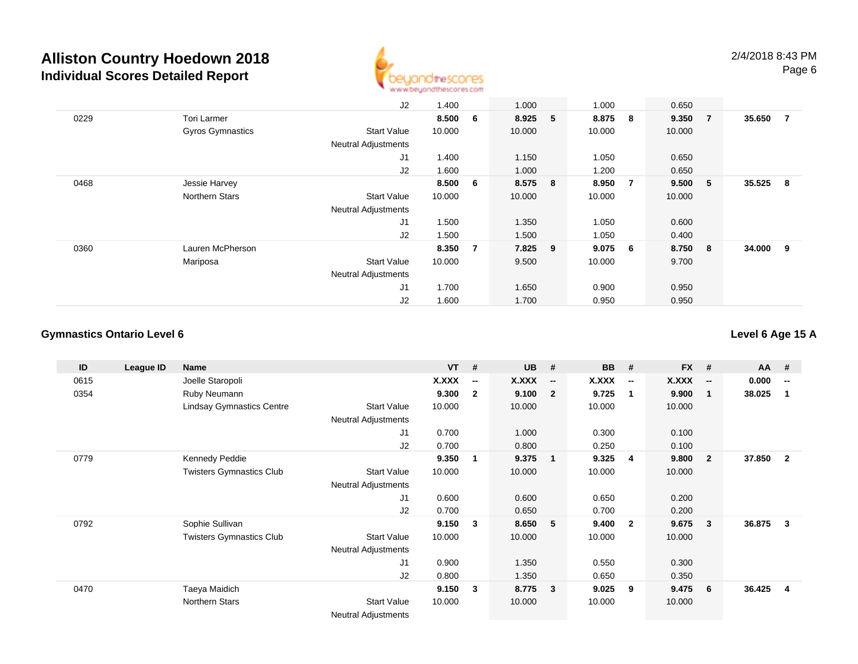

|      |                         | J2                         | 1.400  |     | 1.000   |   | 1.000   |                | 0.650   |                |        |                |
|------|-------------------------|----------------------------|--------|-----|---------|---|---------|----------------|---------|----------------|--------|----------------|
| 0229 | <b>Tori Larmer</b>      |                            | 8.500  | 6   | 8.925   | 5 | 8.875   | 8              | 9.350   | $\overline{7}$ | 35.650 | $\overline{7}$ |
|      | <b>Gyros Gymnastics</b> | <b>Start Value</b>         | 10.000 |     | 10.000  |   | 10.000  |                | 10.000  |                |        |                |
|      |                         | <b>Neutral Adjustments</b> |        |     |         |   |         |                |         |                |        |                |
|      |                         | J <sub>1</sub>             | 1.400  |     | 1.150   |   | 1.050   |                | 0.650   |                |        |                |
|      |                         | J2                         | 1.600  |     | 1.000   |   | 1.200   |                | 0.650   |                |        |                |
| 0468 | Jessie Harvey           |                            | 8.500  | - 6 | 8.575 8 |   | 8.950   | $\overline{7}$ | 9.500   | 5 <sub>2</sub> | 35.525 | - 8            |
|      | Northern Stars          | <b>Start Value</b>         | 10.000 |     | 10.000  |   | 10.000  |                | 10.000  |                |        |                |
|      |                         | <b>Neutral Adjustments</b> |        |     |         |   |         |                |         |                |        |                |
|      |                         | J1                         | 1.500  |     | 1.350   |   | 1.050   |                | 0.600   |                |        |                |
|      |                         | J2                         | 1.500  |     | 1.500   |   | 1.050   |                | 0.400   |                |        |                |
| 0360 | Lauren McPherson        |                            | 8.350  | -7  | 7.825 9 |   | 9.075 6 |                | 8.750 8 |                | 34.000 | - 9            |
|      | Mariposa                | <b>Start Value</b>         | 10.000 |     | 9.500   |   | 10.000  |                | 9.700   |                |        |                |
|      |                         | <b>Neutral Adjustments</b> |        |     |         |   |         |                |         |                |        |                |
|      |                         | J1                         | 1.700  |     | 1.650   |   | 0.900   |                | 0.950   |                |        |                |
|      |                         | J2                         | 1.600  |     | 1.700   |   | 0.950   |                | 0.950   |                |        |                |

### **Gymnastics Ontario Level 6**

**Level 6 Age 15 A**

| ID   | League ID | Name                             |                            | <b>VT</b>    | #                        | <b>UB</b> | #                        | <b>BB</b> | #                        | <b>FX</b>    | #                        | $AA$ # |                          |
|------|-----------|----------------------------------|----------------------------|--------------|--------------------------|-----------|--------------------------|-----------|--------------------------|--------------|--------------------------|--------|--------------------------|
| 0615 |           | Joelle Staropoli                 |                            | <b>X.XXX</b> | $\overline{\phantom{a}}$ | X.XXX     | $\overline{\phantom{a}}$ | X.XXX     | $\overline{\phantom{a}}$ | <b>X.XXX</b> | $\overline{\phantom{a}}$ | 0.000  | $\overline{\phantom{a}}$ |
| 0354 |           | Ruby Neumann                     |                            | 9.300        | $\mathbf{2}$             | 9.100     | $\overline{\mathbf{2}}$  | 9.725     | $\mathbf{1}$             | 9.900        | 1                        | 38.025 | 1                        |
|      |           | <b>Lindsay Gymnastics Centre</b> | <b>Start Value</b>         | 10.000       |                          | 10.000    |                          | 10.000    |                          | 10.000       |                          |        |                          |
|      |           |                                  | Neutral Adjustments        |              |                          |           |                          |           |                          |              |                          |        |                          |
|      |           |                                  | J1                         | 0.700        |                          | 1.000     |                          | 0.300     |                          | 0.100        |                          |        |                          |
|      |           |                                  | J2                         | 0.700        |                          | 0.800     |                          | 0.250     |                          | 0.100        |                          |        |                          |
| 0779 |           | Kennedy Peddie                   |                            | 9.350        | 1                        | 9.375     | $\overline{\mathbf{1}}$  | 9.325     | -4                       | 9.800        | $\mathbf{2}$             | 37.850 | $\overline{2}$           |
|      |           | <b>Twisters Gymnastics Club</b>  | <b>Start Value</b>         | 10.000       |                          | 10.000    |                          | 10.000    |                          | 10.000       |                          |        |                          |
|      |           |                                  | <b>Neutral Adjustments</b> |              |                          |           |                          |           |                          |              |                          |        |                          |
|      |           |                                  | J1                         | 0.600        |                          | 0.600     |                          | 0.650     |                          | 0.200        |                          |        |                          |
|      |           |                                  | J2                         | 0.700        |                          | 0.650     |                          | 0.700     |                          | 0.200        |                          |        |                          |
| 0792 |           | Sophie Sullivan                  |                            | 9.150        | 3                        | 8.650     | $-5$                     | 9.400     | $\overline{\mathbf{2}}$  | 9.675        | 3                        | 36.875 | 3                        |
|      |           | <b>Twisters Gymnastics Club</b>  | <b>Start Value</b>         | 10.000       |                          | 10.000    |                          | 10.000    |                          | 10.000       |                          |        |                          |
|      |           |                                  | <b>Neutral Adjustments</b> |              |                          |           |                          |           |                          |              |                          |        |                          |
|      |           |                                  | J <sub>1</sub>             | 0.900        |                          | 1.350     |                          | 0.550     |                          | 0.300        |                          |        |                          |
|      |           |                                  | J2                         | 0.800        |                          | 1.350     |                          | 0.650     |                          | 0.350        |                          |        |                          |
| 0470 |           | Taeya Maidich                    |                            | 9.150        | 3                        | 8.775     | $\overline{\mathbf{3}}$  | 9.025     | 9                        | 9.475        | 6                        | 36.425 | $\overline{4}$           |
|      |           | Northern Stars                   | <b>Start Value</b>         | 10.000       |                          | 10.000    |                          | 10.000    |                          | 10.000       |                          |        |                          |
|      |           |                                  | Neutral Adjustments        |              |                          |           |                          |           |                          |              |                          |        |                          |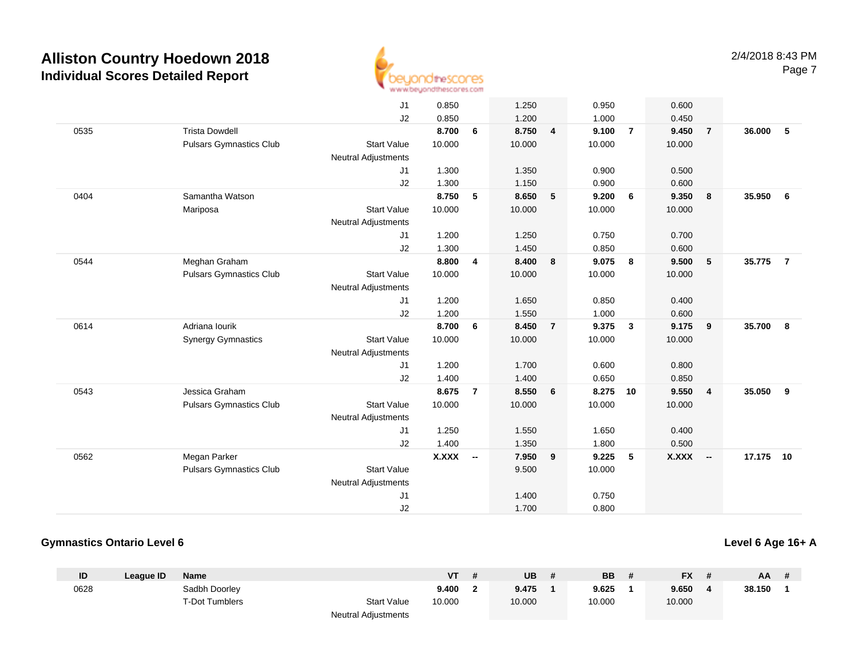

|      |                                | J1                         | 0.850        |                          | 1.250  |                | 0.950  |                         | 0.600        |                          |        |                |
|------|--------------------------------|----------------------------|--------------|--------------------------|--------|----------------|--------|-------------------------|--------------|--------------------------|--------|----------------|
|      |                                | J2                         | 0.850        |                          | 1.200  |                | 1.000  |                         | 0.450        |                          |        |                |
| 0535 | <b>Trista Dowdell</b>          |                            | 8.700        | 6                        | 8.750  | $\overline{4}$ | 9.100  | $\overline{7}$          | 9.450        | $\overline{7}$           | 36.000 | 5              |
|      | <b>Pulsars Gymnastics Club</b> | <b>Start Value</b>         | 10.000       |                          | 10.000 |                | 10.000 |                         | 10.000       |                          |        |                |
|      |                                | <b>Neutral Adjustments</b> |              |                          |        |                |        |                         |              |                          |        |                |
|      |                                | J1                         | 1.300        |                          | 1.350  |                | 0.900  |                         | 0.500        |                          |        |                |
|      |                                | J2                         | 1.300        |                          | 1.150  |                | 0.900  |                         | 0.600        |                          |        |                |
| 0404 | Samantha Watson                |                            | 8.750        | 5                        | 8.650  | 5              | 9.200  | 6                       | 9.350        | 8                        | 35.950 | 6              |
|      | Mariposa                       | <b>Start Value</b>         | 10.000       |                          | 10.000 |                | 10.000 |                         | 10.000       |                          |        |                |
|      |                                | Neutral Adjustments        |              |                          |        |                |        |                         |              |                          |        |                |
|      |                                | J1                         | 1.200        |                          | 1.250  |                | 0.750  |                         | 0.700        |                          |        |                |
|      |                                | J2                         | 1.300        |                          | 1.450  |                | 0.850  |                         | 0.600        |                          |        |                |
| 0544 | Meghan Graham                  |                            | 8.800        | $\overline{\mathbf{4}}$  | 8.400  | 8              | 9.075  | $\overline{\mathbf{8}}$ | 9.500        | 5                        | 35.775 | $\overline{7}$ |
|      | <b>Pulsars Gymnastics Club</b> | <b>Start Value</b>         | 10.000       |                          | 10.000 |                | 10.000 |                         | 10.000       |                          |        |                |
|      |                                | Neutral Adjustments        |              |                          |        |                |        |                         |              |                          |        |                |
|      |                                | J1                         | 1.200        |                          | 1.650  |                | 0.850  |                         | 0.400        |                          |        |                |
|      |                                | J2                         | 1.200        |                          | 1.550  |                | 1.000  |                         | 0.600        |                          |        |                |
| 0614 | Adriana Iourik                 |                            | 8.700        | 6                        | 8.450  | $\overline{7}$ | 9.375  | $\overline{\mathbf{3}}$ | 9.175        | 9                        | 35.700 | 8              |
|      | <b>Synergy Gymnastics</b>      | <b>Start Value</b>         | 10.000       |                          | 10.000 |                | 10.000 |                         | 10.000       |                          |        |                |
|      |                                | Neutral Adjustments        |              |                          |        |                |        |                         |              |                          |        |                |
|      |                                | J1                         | 1.200        |                          | 1.700  |                | 0.600  |                         | 0.800        |                          |        |                |
|      |                                | J2                         | 1.400        |                          | 1.400  |                | 0.650  |                         | 0.850        |                          |        |                |
| 0543 | Jessica Graham                 |                            | 8.675        | $\overline{7}$           | 8.550  | 6              | 8.275  | 10                      | 9.550        | $\overline{4}$           | 35.050 | 9              |
|      | <b>Pulsars Gymnastics Club</b> | <b>Start Value</b>         | 10.000       |                          | 10.000 |                | 10.000 |                         | 10.000       |                          |        |                |
|      |                                | Neutral Adjustments        |              |                          |        |                |        |                         |              |                          |        |                |
|      |                                | J1                         | 1.250        |                          | 1.550  |                | 1.650  |                         | 0.400        |                          |        |                |
|      |                                | J2                         | 1.400        |                          | 1.350  |                | 1.800  |                         | 0.500        |                          |        |                |
| 0562 | Megan Parker                   |                            | <b>X.XXX</b> | $\overline{\phantom{a}}$ | 7.950  | 9              | 9.225  | 5                       | <b>X.XXX</b> | $\overline{\phantom{a}}$ | 17.175 | 10             |
|      | <b>Pulsars Gymnastics Club</b> | <b>Start Value</b>         |              |                          | 9.500  |                | 10.000 |                         |              |                          |        |                |
|      |                                | <b>Neutral Adjustments</b> |              |                          |        |                |        |                         |              |                          |        |                |
|      |                                | J1                         |              |                          | 1.400  |                | 0.750  |                         |              |                          |        |                |
|      |                                | J2                         |              |                          | 1.700  |                | 0.800  |                         |              |                          |        |                |

### **Gymnastics Ontario Level 6**

**Level 6 Age 16+ A**

| ID   | Leaque ID | Name           |                            | <b>VT</b> | UB     | <b>BB</b> | <b>FX</b> | AA     |  |
|------|-----------|----------------|----------------------------|-----------|--------|-----------|-----------|--------|--|
| 0628 |           | Sadbh Doorley  |                            | 9.400     | 9.475  | 9.625     | 9.650     | 38.150 |  |
|      |           | T-Dot Tumblers | <b>Start Value</b>         | 10.000    | 10.000 | 10.000    | 10.000    |        |  |
|      |           |                | <b>Neutral Adjustments</b> |           |        |           |           |        |  |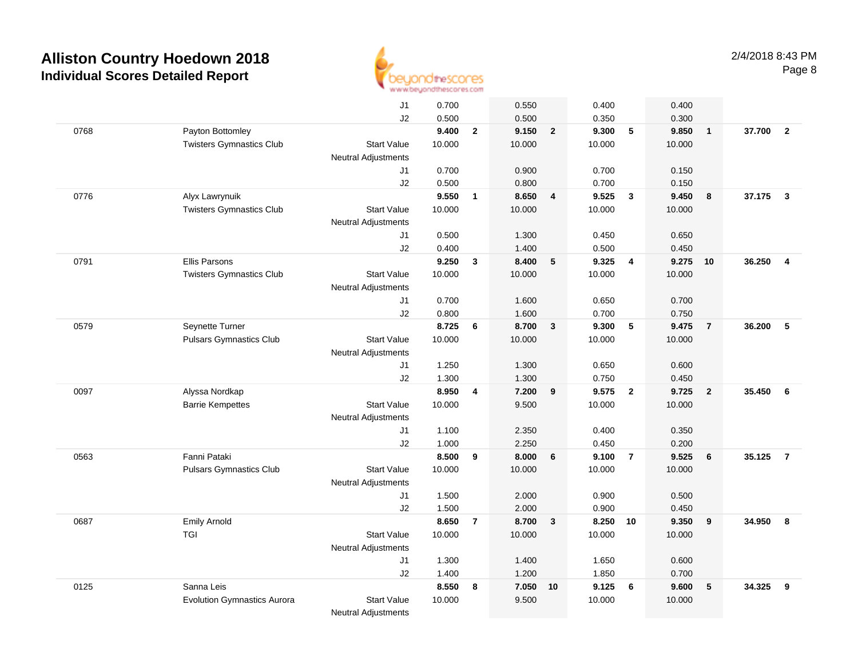

|      |                                    | J1                               | 0.700  |                         | 0.550  |                         | 0.400  |                         | 0.400  |                |        |                         |
|------|------------------------------------|----------------------------------|--------|-------------------------|--------|-------------------------|--------|-------------------------|--------|----------------|--------|-------------------------|
|      |                                    | J2                               | 0.500  |                         | 0.500  |                         | 0.350  |                         | 0.300  |                |        |                         |
| 0768 | Payton Bottomley                   |                                  | 9.400  | $\overline{2}$          | 9.150  | $\overline{2}$          | 9.300  | 5                       | 9.850  | $\overline{1}$ | 37.700 | $\overline{\mathbf{2}}$ |
|      | <b>Twisters Gymnastics Club</b>    | <b>Start Value</b>               | 10.000 |                         | 10.000 |                         | 10.000 |                         | 10.000 |                |        |                         |
|      |                                    | <b>Neutral Adjustments</b>       |        |                         |        |                         |        |                         |        |                |        |                         |
|      |                                    | J1                               | 0.700  |                         | 0.900  |                         | 0.700  |                         | 0.150  |                |        |                         |
|      |                                    | J2                               | 0.500  |                         | 0.800  |                         | 0.700  |                         | 0.150  |                |        |                         |
| 0776 | Alyx Lawrynuik                     |                                  | 9.550  | $\mathbf{1}$            | 8.650  | $\overline{\mathbf{4}}$ | 9.525  | $\overline{\mathbf{3}}$ | 9.450  | 8              | 37.175 | $\overline{\mathbf{3}}$ |
|      | <b>Twisters Gymnastics Club</b>    | <b>Start Value</b>               | 10.000 |                         | 10.000 |                         | 10.000 |                         | 10.000 |                |        |                         |
|      |                                    | <b>Neutral Adjustments</b>       |        |                         |        |                         |        |                         |        |                |        |                         |
|      |                                    | J1                               | 0.500  |                         | 1.300  |                         | 0.450  |                         | 0.650  |                |        |                         |
|      |                                    | J2                               | 0.400  |                         | 1.400  |                         | 0.500  |                         | 0.450  |                |        |                         |
| 0791 | <b>Ellis Parsons</b>               |                                  | 9.250  | $\mathbf{3}$            | 8.400  | 5                       | 9.325  | $\overline{4}$          | 9.275  | 10             | 36.250 | $\overline{\mathbf{4}}$ |
|      | <b>Twisters Gymnastics Club</b>    | <b>Start Value</b>               | 10.000 |                         | 10.000 |                         | 10.000 |                         | 10.000 |                |        |                         |
|      |                                    | <b>Neutral Adjustments</b><br>J1 | 0.700  |                         | 1.600  |                         | 0.650  |                         | 0.700  |                |        |                         |
|      |                                    | J2                               | 0.800  |                         | 1.600  |                         | 0.700  |                         | 0.750  |                |        |                         |
| 0579 | Seynette Turner                    |                                  | 8.725  | 6                       | 8.700  | $\mathbf{3}$            | 9.300  | 5                       | 9.475  | $\overline{7}$ | 36.200 | 5                       |
|      | <b>Pulsars Gymnastics Club</b>     | <b>Start Value</b>               | 10.000 |                         | 10.000 |                         | 10.000 |                         | 10.000 |                |        |                         |
|      |                                    | <b>Neutral Adjustments</b>       |        |                         |        |                         |        |                         |        |                |        |                         |
|      |                                    | J1                               | 1.250  |                         | 1.300  |                         | 0.650  |                         | 0.600  |                |        |                         |
|      |                                    | J2                               | 1.300  |                         | 1.300  |                         | 0.750  |                         | 0.450  |                |        |                         |
| 0097 | Alyssa Nordkap                     |                                  | 8.950  | $\overline{\mathbf{4}}$ | 7.200  | 9                       | 9.575  | $\overline{2}$          | 9.725  | $\overline{2}$ | 35.450 | 6                       |
|      | <b>Barrie Kempettes</b>            | <b>Start Value</b>               | 10.000 |                         | 9.500  |                         | 10.000 |                         | 10.000 |                |        |                         |
|      |                                    | <b>Neutral Adjustments</b>       |        |                         |        |                         |        |                         |        |                |        |                         |
|      |                                    | J1                               | 1.100  |                         | 2.350  |                         | 0.400  |                         | 0.350  |                |        |                         |
|      |                                    | J2                               | 1.000  |                         | 2.250  |                         | 0.450  |                         | 0.200  |                |        |                         |
| 0563 | Fanni Pataki                       |                                  | 8.500  | 9                       | 8.000  | 6                       | 9.100  | $\overline{7}$          | 9.525  | 6              | 35.125 | $\overline{7}$          |
|      | <b>Pulsars Gymnastics Club</b>     | <b>Start Value</b>               | 10.000 |                         | 10.000 |                         | 10.000 |                         | 10.000 |                |        |                         |
|      |                                    | <b>Neutral Adjustments</b>       |        |                         |        |                         |        |                         |        |                |        |                         |
|      |                                    | J1                               | 1.500  |                         | 2.000  |                         | 0.900  |                         | 0.500  |                |        |                         |
|      |                                    | J2                               | 1.500  |                         | 2.000  |                         | 0.900  |                         | 0.450  |                |        |                         |
| 0687 | <b>Emily Arnold</b>                |                                  | 8.650  | $\overline{7}$          | 8.700  | $\mathbf{3}$            | 8.250  | 10                      | 9.350  | 9              | 34.950 | 8                       |
|      | <b>TGI</b>                         | <b>Start Value</b>               | 10.000 |                         | 10.000 |                         | 10.000 |                         | 10.000 |                |        |                         |
|      |                                    | <b>Neutral Adjustments</b>       |        |                         |        |                         |        |                         |        |                |        |                         |
|      |                                    | J1                               | 1.300  |                         | 1.400  |                         | 1.650  |                         | 0.600  |                |        |                         |
|      |                                    | J2                               | 1.400  |                         | 1.200  |                         | 1.850  |                         | 0.700  |                |        |                         |
| 0125 | Sanna Leis                         |                                  | 8.550  | 8                       | 7.050  | 10                      | 9.125  | 6                       | 9.600  | 5              | 34.325 | 9                       |
|      | <b>Evolution Gymnastics Aurora</b> | <b>Start Value</b>               | 10.000 |                         | 9.500  |                         | 10.000 |                         | 10.000 |                |        |                         |
|      |                                    | <b>Neutral Adjustments</b>       |        |                         |        |                         |        |                         |        |                |        |                         |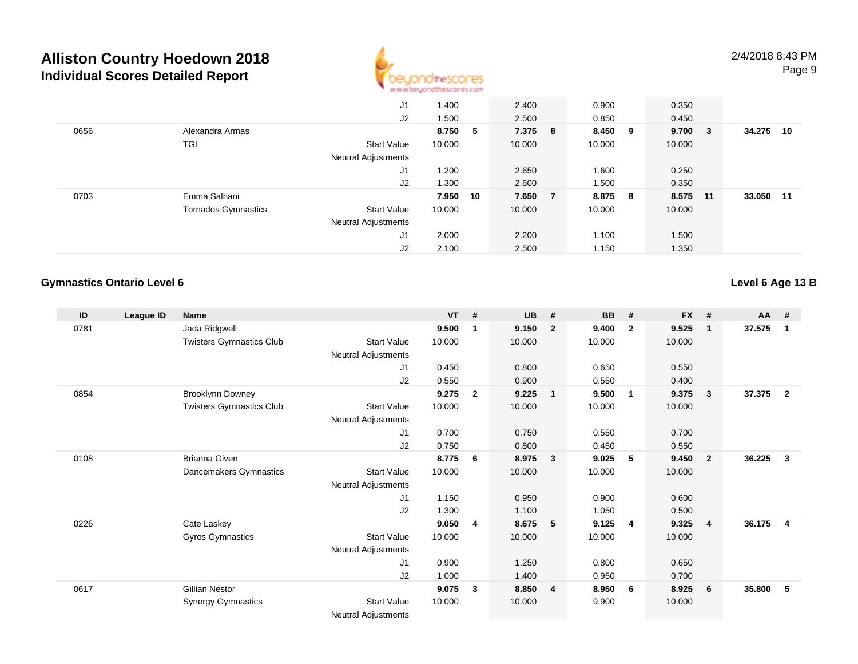

|      |                            | J1                         | 1.400    | 2.400   | 0.900   | 0.350  |        |        |     |
|------|----------------------------|----------------------------|----------|---------|---------|--------|--------|--------|-----|
|      |                            | J2                         | 1.500    | 2.500   | 0.850   | 0.450  |        |        |     |
| 0656 | Alexandra Armas            |                            | 8.750 5  | 7.375 8 | 8.450 9 | 9.700  | $_{3}$ | 34.275 | 10  |
|      | TGI                        | <b>Start Value</b>         | 10.000   | 10.000  | 10.000  | 10.000 |        |        |     |
|      |                            | <b>Neutral Adjustments</b> |          |         |         |        |        |        |     |
|      |                            | J1                         | .200     | 2.650   | 1.600   | 0.250  |        |        |     |
|      |                            | J2                         | 1.300    | 2.600   | 1.500   | 0.350  |        |        |     |
| 0703 | Emma Salhani               |                            | 7.950 10 | 7.650 7 | 8.875 8 | 8.575  | 11     | 33.050 | -11 |
|      | <b>Tornados Gymnastics</b> | <b>Start Value</b>         | 10.000   | 10.000  | 10.000  | 10.000 |        |        |     |
|      |                            | <b>Neutral Adjustments</b> |          |         |         |        |        |        |     |
|      |                            | J <sub>1</sub>             | 2.000    | 2.200   | 1.100   | 1.500  |        |        |     |
|      |                            | J2                         | 2.100    | 2.500   | 1.150   | 1.350  |        |        |     |

### **Gymnastics Ontario Level 6**

**Level 6 Age 13 B**

| ID   | League ID | <b>Name</b>                     |                            | <b>VT</b> | #            | <b>UB</b> | #                       | <b>BB</b> | #              | <b>FX</b> | #              | $AA$ # |                |
|------|-----------|---------------------------------|----------------------------|-----------|--------------|-----------|-------------------------|-----------|----------------|-----------|----------------|--------|----------------|
| 0781 |           | Jada Ridgwell                   |                            | 9.500     | 1            | 9.150     | $\overline{2}$          | 9.400     | $\overline{2}$ | 9.525     | $\mathbf{1}$   | 37.575 | 1              |
|      |           | <b>Twisters Gymnastics Club</b> | <b>Start Value</b>         | 10.000    |              | 10.000    |                         | 10.000    |                | 10.000    |                |        |                |
|      |           |                                 | Neutral Adjustments        |           |              |           |                         |           |                |           |                |        |                |
|      |           |                                 | J1                         | 0.450     |              | 0.800     |                         | 0.650     |                | 0.550     |                |        |                |
|      |           |                                 | J2                         | 0.550     |              | 0.900     |                         | 0.550     |                | 0.400     |                |        |                |
| 0854 |           | <b>Brooklynn Downey</b>         |                            | 9.275     | $\mathbf{2}$ | 9.225     | $\blacksquare$          | 9.500     | $\overline{1}$ | 9.375     | 3              | 37.375 | $\overline{2}$ |
|      |           | <b>Twisters Gymnastics Club</b> | Start Value                | 10.000    |              | 10.000    |                         | 10.000    |                | 10.000    |                |        |                |
|      |           |                                 | Neutral Adjustments        |           |              |           |                         |           |                |           |                |        |                |
|      |           |                                 | J1                         | 0.700     |              | 0.750     |                         | 0.550     |                | 0.700     |                |        |                |
|      |           |                                 | J2                         | 0.750     |              | 0.800     |                         | 0.450     |                | 0.550     |                |        |                |
| 0108 |           | <b>Brianna Given</b>            |                            | 8.775     | 6            | 8.975     | $\mathbf{3}$            | 9.025     | 5              | 9.450     | $\overline{2}$ | 36.225 | $\mathbf{3}$   |
|      |           | Dancemakers Gymnastics          | <b>Start Value</b>         | 10.000    |              | 10.000    |                         | 10.000    |                | 10.000    |                |        |                |
|      |           |                                 | Neutral Adjustments        |           |              |           |                         |           |                |           |                |        |                |
|      |           |                                 | J1                         | 1.150     |              | 0.950     |                         | 0.900     |                | 0.600     |                |        |                |
|      |           |                                 | J2                         | 1.300     |              | 1.100     |                         | 1.050     |                | 0.500     |                |        |                |
| 0226 |           | Cate Laskey                     |                            | 9.050     | 4            | 8.675     | $-5$                    | 9.125     | $\overline{4}$ | 9.325     | $\overline{4}$ | 36.175 | $\overline{4}$ |
|      |           | Gyros Gymnastics                | <b>Start Value</b>         | 10.000    |              | 10.000    |                         | 10.000    |                | 10.000    |                |        |                |
|      |           |                                 | Neutral Adjustments        |           |              |           |                         |           |                |           |                |        |                |
|      |           |                                 | J1                         | 0.900     |              | 1.250     |                         | 0.800     |                | 0.650     |                |        |                |
|      |           |                                 | J2                         | 1.000     |              | 1.400     |                         | 0.950     |                | 0.700     |                |        |                |
| 0617 |           | <b>Gillian Nestor</b>           |                            | 9.075     | 3            | 8.850     | $\overline{\mathbf{4}}$ | 8.950     | - 6            | 8.925     | 6              | 35.800 | 5              |
|      |           | <b>Synergy Gymnastics</b>       | <b>Start Value</b>         | 10.000    |              | 10.000    |                         | 9.900     |                | 10.000    |                |        |                |
|      |           |                                 | <b>Neutral Adjustments</b> |           |              |           |                         |           |                |           |                |        |                |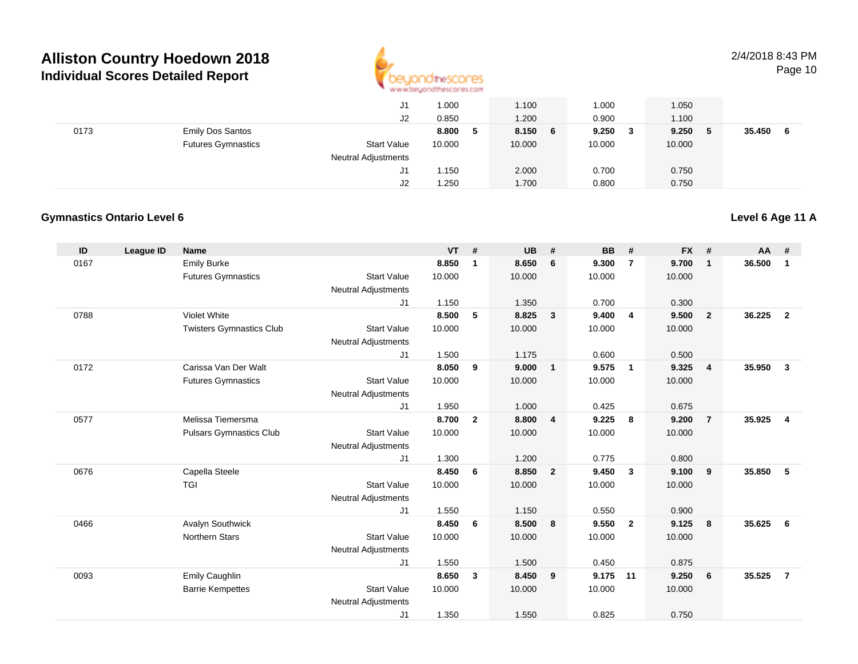

|      |                           | J1                         | 1.000  |   | 1.100   | 1.000        | 1.050  |             |
|------|---------------------------|----------------------------|--------|---|---------|--------------|--------|-------------|
|      |                           | J2                         | 0.850  |   | 1.200   | 0.900        | 1.100  |             |
| 0173 | <b>Emily Dos Santos</b>   |                            | 8.800  | 5 | 8.150 6 | 9.250<br>- 3 | 9.250  | 35.450<br>6 |
|      | <b>Futures Gymnastics</b> | <b>Start Value</b>         | 10.000 |   | 10.000  | 10.000       | 10.000 |             |
|      |                           | <b>Neutral Adjustments</b> |        |   |         |              |        |             |
|      |                           | J1                         | 1.150  |   | 2.000   | 0.700        | 0.750  |             |
|      |                           | J2                         | 1.250  |   | 1.700   | 0.800        | 0.750  |             |

### **Gymnastics Ontario Level 6**

#### **ID League ID Name VT # UB # BB # FX # AA #** 0167 Emily Burke **8.850 <sup>1</sup> 8.650 <sup>6</sup> 9.300 <sup>7</sup> 9.700 <sup>1</sup> 36.500 <sup>1</sup>** Futures Gymnastics Start Valuee 10.000 10.000 10.000 10.000 Neutral Adjustments J1 1.150 1.350 0.700 0.300 0788 Violet White **8.500 <sup>5</sup> 8.825 <sup>3</sup> 9.400 <sup>4</sup> 9.500 <sup>2</sup> 36.225 <sup>2</sup>** Twisters Gymnastics Clubb 3tart Value 10.000 10.000 10.000 10.000 10.000 Neutral Adjustments J1 1.500 1.175 0.600 0.500 0172 Carissa Van Der Walt **8.050 <sup>9</sup> 9.000 <sup>1</sup> 9.575 <sup>1</sup> 9.325 <sup>4</sup> 35.950 <sup>3</sup>** Futures Gymnastics Start Valuee 10.000 10.000 10.000 10.000 Neutral Adjustments J1 1.950 1.000 0.425 0.675 0577 Melissa Tiemersma **8.700 <sup>2</sup> 8.800 <sup>4</sup> 9.225 <sup>8</sup> 9.200 <sup>7</sup> 35.925 <sup>4</sup>** Pulsars Gymnastics Clubb 3tart Value 10.000 10.000 10.000 10.000 10.000 Neutral Adjustments J1 1.300 1.200 0.775 0.800 0676 Capella Steele **8.450 <sup>6</sup> 8.850 <sup>2</sup> 9.450 <sup>3</sup> 9.100 <sup>9</sup> 35.850 <sup>5</sup>** TGI Start Valuee 10.000 10.000 10.000 10.000 Neutral Adjustments J1 1.550 1.150 0.550 0.900 0466 Avalyn Southwick **8.450 <sup>6</sup> 8.500 <sup>8</sup> 9.550 <sup>2</sup> 9.125 <sup>8</sup> 35.625 <sup>6</sup>** Northern Stars Start Valuee 10.000 10.000 10.000 10.000 Neutral Adjustments J1 1.550 1.500 0.450 0.875 0093 Emily Caughlin **8.650 <sup>3</sup> 8.450 <sup>9</sup> 9.175 <sup>11</sup> 9.250 <sup>6</sup> 35.525 <sup>7</sup>** Barrie Kempettes Start Valuee 10.000 10.000 10.000 10.000 Neutral Adjustments J11.350 1.550 0.825 0.750

**Level 6 Age 11 A**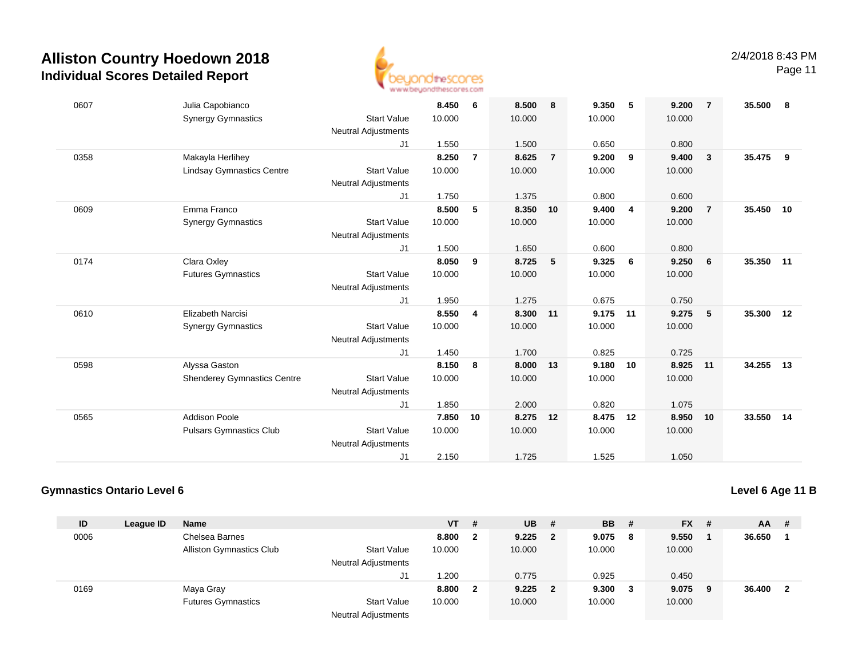

Page 11

| 0607 | Julia Capobianco                   |                            | 8.450  | 6              | 8.500  | 8              | 9.350  | -5 | 9.200  | $\overline{7}$ | 35.500    | 8  |
|------|------------------------------------|----------------------------|--------|----------------|--------|----------------|--------|----|--------|----------------|-----------|----|
|      | <b>Synergy Gymnastics</b>          | <b>Start Value</b>         | 10.000 |                | 10.000 |                | 10.000 |    | 10.000 |                |           |    |
|      |                                    | <b>Neutral Adjustments</b> |        |                |        |                |        |    |        |                |           |    |
|      |                                    | J1                         | 1.550  |                | 1.500  |                | 0.650  |    | 0.800  |                |           |    |
| 0358 | Makayla Herlihey                   |                            | 8.250  | $\overline{7}$ | 8.625  | $\overline{7}$ | 9.200  | 9  | 9.400  | 3              | 35.475    | 9  |
|      | <b>Lindsay Gymnastics Centre</b>   | <b>Start Value</b>         | 10.000 |                | 10.000 |                | 10.000 |    | 10.000 |                |           |    |
|      |                                    | <b>Neutral Adjustments</b> |        |                |        |                |        |    |        |                |           |    |
|      |                                    | J <sub>1</sub>             | 1.750  |                | 1.375  |                | 0.800  |    | 0.600  |                |           |    |
| 0609 | Emma Franco                        |                            | 8.500  | 5              | 8.350  | 10             | 9.400  | 4  | 9.200  | $\overline{7}$ | 35.450 10 |    |
|      | <b>Synergy Gymnastics</b>          | <b>Start Value</b>         | 10.000 |                | 10.000 |                | 10.000 |    | 10.000 |                |           |    |
|      |                                    | <b>Neutral Adjustments</b> |        |                |        |                |        |    |        |                |           |    |
|      |                                    | J <sub>1</sub>             | 1.500  |                | 1.650  |                | 0.600  |    | 0.800  |                |           |    |
| 0174 | Clara Oxley                        |                            | 8.050  | 9              | 8.725  | 5              | 9.325  | 6  | 9.250  | 6              | 35.350 11 |    |
|      | <b>Futures Gymnastics</b>          | <b>Start Value</b>         | 10.000 |                | 10.000 |                | 10.000 |    | 10.000 |                |           |    |
|      |                                    | <b>Neutral Adjustments</b> |        |                |        |                |        |    |        |                |           |    |
|      |                                    | J1                         | 1.950  |                | 1.275  |                | 0.675  |    | 0.750  |                |           |    |
| 0610 | <b>Elizabeth Narcisi</b>           |                            | 8.550  | 4              | 8.300  | 11             | 9.175  | 11 | 9.275  | 5              | 35.300 12 |    |
|      | <b>Synergy Gymnastics</b>          | <b>Start Value</b>         | 10.000 |                | 10.000 |                | 10.000 |    | 10.000 |                |           |    |
|      |                                    | <b>Neutral Adjustments</b> |        |                |        |                |        |    |        |                |           |    |
|      |                                    | J1                         | 1.450  |                | 1.700  |                | 0.825  |    | 0.725  |                |           |    |
| 0598 | Alyssa Gaston                      |                            | 8.150  | 8              | 8.000  | 13             | 9.180  | 10 | 8.925  | 11             | 34.255    | 13 |
|      | <b>Shenderey Gymnastics Centre</b> | <b>Start Value</b>         | 10.000 |                | 10.000 |                | 10.000 |    | 10.000 |                |           |    |
|      |                                    | <b>Neutral Adjustments</b> |        |                |        |                |        |    |        |                |           |    |
|      |                                    | J1                         | 1.850  |                | 2.000  |                | 0.820  |    | 1.075  |                |           |    |
| 0565 | <b>Addison Poole</b>               |                            | 7.850  | 10             | 8.275  | 12             | 8.475  | 12 | 8.950  | 10             | 33.550 14 |    |
|      | <b>Pulsars Gymnastics Club</b>     | <b>Start Value</b>         | 10.000 |                | 10.000 |                | 10.000 |    | 10.000 |                |           |    |
|      |                                    | <b>Neutral Adjustments</b> |        |                |        |                |        |    |        |                |           |    |
|      |                                    | J1                         | 2.150  |                | 1.725  |                | 1.525  |    | 1.050  |                |           |    |

### **Gymnastics Ontario Level 6**

**Level 6 Age 11 B**

| ID   | League ID | <b>Name</b>                     |                            | <b>VT</b> | #            | <b>UB</b> | - #            | <b>BB</b> | - #          | <b>FX</b> | - # | AA     | -#  |
|------|-----------|---------------------------------|----------------------------|-----------|--------------|-----------|----------------|-----------|--------------|-----------|-----|--------|-----|
| 0006 |           | Chelsea Barnes                  |                            | 8.800     | $\mathbf{2}$ | 9.225     | $\mathbf{2}$   | 9.075     | -8           | 9.550     |     | 36.650 |     |
|      |           | <b>Alliston Gymnastics Club</b> | <b>Start Value</b>         | 10.000    |              | 10.000    |                | 10.000    |              | 10.000    |     |        |     |
|      |           |                                 | <b>Neutral Adjustments</b> |           |              |           |                |           |              |           |     |        |     |
|      |           |                                 | J1                         | 1.200     |              | 0.775     |                | 0.925     |              | 0.450     |     |        |     |
| 0169 |           | Maya Gray                       |                            | 8.800     | 2            | 9.225     | $\overline{2}$ | 9.300     | $\mathbf{3}$ | 9.075     | - 9 | 36.400 | - 2 |
|      |           | <b>Futures Gymnastics</b>       | <b>Start Value</b>         | 10.000    |              | 10.000    |                | 10.000    |              | 10.000    |     |        |     |
|      |           |                                 | <b>Neutral Adjustments</b> |           |              |           |                |           |              |           |     |        |     |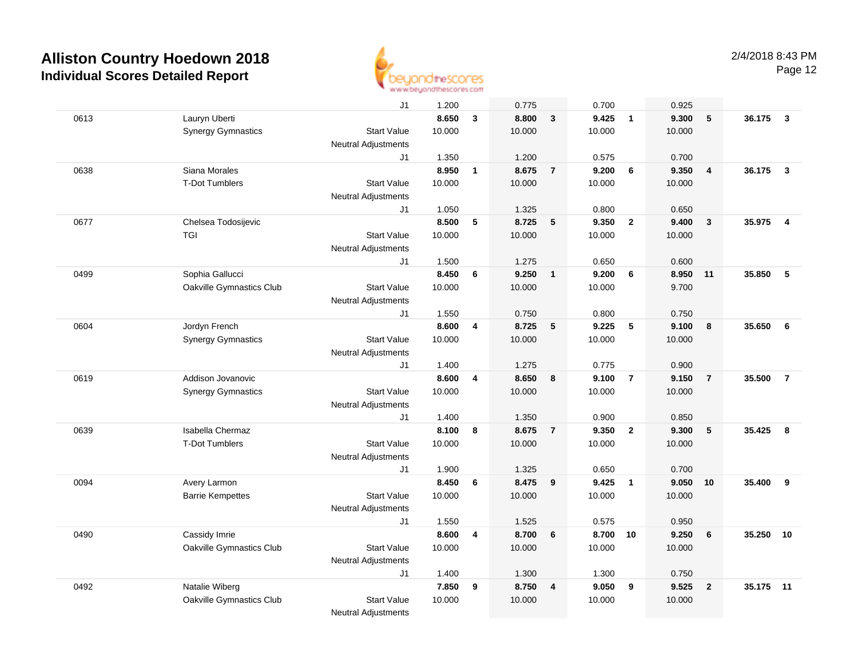

|      |                           | J1                         | 1.200  |                         | 0.775  |                         | 0.700  |                | 0.925    |                 |           |                         |
|------|---------------------------|----------------------------|--------|-------------------------|--------|-------------------------|--------|----------------|----------|-----------------|-----------|-------------------------|
| 0613 | Lauryn Uberti             |                            | 8.650  | $\mathbf{3}$            | 8.800  | $\overline{3}$          | 9.425  | $\overline{1}$ | 9.300    | 5               | 36.175    | $\overline{\mathbf{3}}$ |
|      | <b>Synergy Gymnastics</b> | <b>Start Value</b>         | 10.000 |                         | 10.000 |                         | 10.000 |                | 10.000   |                 |           |                         |
|      |                           | <b>Neutral Adjustments</b> |        |                         |        |                         |        |                |          |                 |           |                         |
|      |                           | J1                         | 1.350  |                         | 1.200  |                         | 0.575  |                | 0.700    |                 |           |                         |
| 0638 | Siana Morales             |                            | 8.950  | $\mathbf{1}$            | 8.675  | $\overline{7}$          | 9.200  | 6              | 9.350    | $\overline{4}$  | 36.175    | $\mathbf{3}$            |
|      | <b>T-Dot Tumblers</b>     | <b>Start Value</b>         | 10.000 |                         | 10.000 |                         | 10.000 |                | 10.000   |                 |           |                         |
|      |                           | <b>Neutral Adjustments</b> |        |                         |        |                         |        |                |          |                 |           |                         |
|      |                           | J1                         | 1.050  |                         | 1.325  |                         | 0.800  |                | 0.650    |                 |           |                         |
| 0677 | Chelsea Todosijevic       |                            | 8.500  | 5                       | 8.725  | 5                       | 9.350  | $\overline{2}$ | 9.400    | $\mathbf{3}$    | 35.975    | $\overline{4}$          |
|      | <b>TGI</b>                | <b>Start Value</b>         | 10.000 |                         | 10.000 |                         | 10.000 |                | 10.000   |                 |           |                         |
|      |                           | <b>Neutral Adjustments</b> |        |                         |        |                         |        |                |          |                 |           |                         |
|      |                           | J1                         | 1.500  |                         | 1.275  |                         | 0.650  |                | 0.600    |                 |           |                         |
| 0499 | Sophia Gallucci           |                            | 8.450  | 6                       | 9.250  | $\overline{1}$          | 9.200  | 6              | 8.950 11 |                 | 35.850    | 5                       |
|      | Oakville Gymnastics Club  | <b>Start Value</b>         | 10.000 |                         | 10.000 |                         | 10.000 |                | 9.700    |                 |           |                         |
|      |                           | <b>Neutral Adjustments</b> |        |                         |        |                         |        |                |          |                 |           |                         |
|      |                           | J1                         | 1.550  |                         | 0.750  |                         | 0.800  |                | 0.750    |                 |           |                         |
| 0604 | Jordyn French             |                            | 8.600  | 4                       | 8.725  | 5                       | 9.225  | $\sqrt{5}$     | 9.100    | 8               | 35.650    | 6                       |
|      | <b>Synergy Gymnastics</b> | <b>Start Value</b>         | 10.000 |                         | 10.000 |                         | 10.000 |                | 10.000   |                 |           |                         |
|      |                           | <b>Neutral Adjustments</b> |        |                         |        |                         |        |                |          |                 |           |                         |
|      |                           | J1                         | 1.400  |                         | 1.275  |                         | 0.775  |                | 0.900    |                 |           |                         |
| 0619 | Addison Jovanovic         |                            | 8.600  | 4                       | 8.650  | 8                       | 9.100  | $\overline{7}$ | 9.150    | $\overline{7}$  | 35.500    | $\overline{7}$          |
|      | <b>Synergy Gymnastics</b> | <b>Start Value</b>         | 10.000 |                         | 10.000 |                         | 10.000 |                | 10.000   |                 |           |                         |
|      |                           | Neutral Adjustments        |        |                         |        |                         |        |                |          |                 |           |                         |
|      |                           | J1                         | 1.400  |                         | 1.350  |                         | 0.900  |                | 0.850    |                 |           |                         |
| 0639 | Isabella Chermaz          |                            | 8.100  | 8                       | 8.675  | $\overline{7}$          | 9.350  | $\overline{2}$ | 9.300    | ${\bf 5}$       | 35.425    | 8                       |
|      | <b>T-Dot Tumblers</b>     | <b>Start Value</b>         | 10.000 |                         | 10.000 |                         | 10.000 |                | 10.000   |                 |           |                         |
|      |                           | <b>Neutral Adjustments</b> |        |                         |        |                         |        |                |          |                 |           |                         |
|      |                           | J1                         | 1.900  |                         | 1.325  |                         | 0.650  |                | 0.700    |                 |           |                         |
| 0094 | Avery Larmon              |                            | 8.450  | 6                       | 8.475  | 9                       | 9.425  | $\overline{1}$ | 9.050    | 10              | 35.400    | 9                       |
|      | <b>Barrie Kempettes</b>   | <b>Start Value</b>         | 10.000 |                         | 10.000 |                         | 10.000 |                | 10.000   |                 |           |                         |
|      |                           | <b>Neutral Adjustments</b> |        |                         |        |                         |        |                |          |                 |           |                         |
|      |                           | J1                         | 1.550  |                         | 1.525  |                         | 0.575  |                | 0.950    |                 |           |                         |
| 0490 | Cassidy Imrie             |                            | 8.600  | $\overline{\mathbf{4}}$ | 8.700  | 6                       | 8.700  | 10             | 9.250    | $6\phantom{1}6$ | 35.250    | 10                      |
|      | Oakville Gymnastics Club  | <b>Start Value</b>         | 10.000 |                         | 10.000 |                         | 10.000 |                | 10.000   |                 |           |                         |
|      |                           | Neutral Adjustments        |        |                         |        |                         |        |                |          |                 |           |                         |
|      |                           | J1                         | 1.400  |                         | 1.300  |                         | 1.300  |                | 0.750    |                 |           |                         |
| 0492 | Natalie Wiberg            |                            | 7.850  | 9                       | 8.750  | $\overline{\mathbf{4}}$ | 9.050  | 9              | 9.525    | $\overline{2}$  | 35.175 11 |                         |
|      | Oakville Gymnastics Club  | <b>Start Value</b>         | 10.000 |                         | 10.000 |                         | 10.000 |                | 10.000   |                 |           |                         |
|      |                           | Neutral Adjustments        |        |                         |        |                         |        |                |          |                 |           |                         |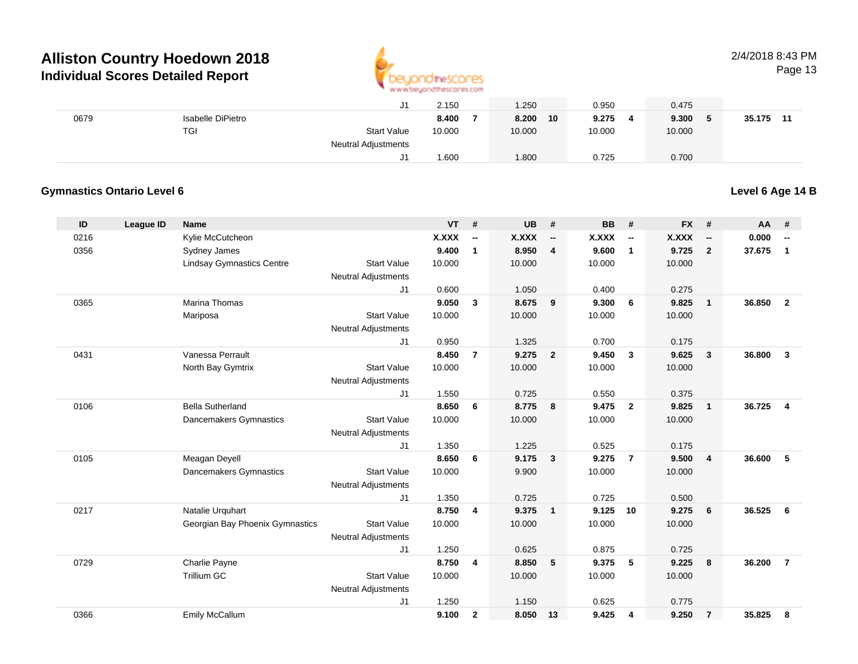

# 2/4/2018 8:43 PM

Page 13

|      |                   | ັບ.                 | 2.150  | 1.250       | 0.950      | 0.475  |              |
|------|-------------------|---------------------|--------|-------------|------------|--------|--------------|
| 0679 | Isabelle DiPietro |                     | 8.400  | 8.200<br>10 | 9.275<br>4 | 9.300  | 35.175<br>11 |
|      | <b>TGI</b>        | <b>Start Value</b>  | 10.000 | 10.000      | 10.000     | 10.000 |              |
|      |                   | Neutral Adjustments |        |             |            |        |              |
|      |                   |                     | 1.600  | .800        | 0.725      | 0.700  |              |

### **Gymnastics Ontario Level 6**

**Level 6 Age 14 B**

| ID   | <b>League ID</b> | <b>Name</b>                      |                            | <b>VT</b>    | #              | <b>UB</b> | #                        | <b>BB</b> | #                        | <b>FX</b> | #                        | AA     | #                        |
|------|------------------|----------------------------------|----------------------------|--------------|----------------|-----------|--------------------------|-----------|--------------------------|-----------|--------------------------|--------|--------------------------|
| 0216 |                  | Kylie McCutcheon                 |                            | <b>X.XXX</b> | --             | X.XXX     | $\overline{\phantom{a}}$ | X.XXX     | $\overline{\phantom{a}}$ | X.XXX     | $\overline{\phantom{a}}$ | 0.000  | $\overline{\phantom{a}}$ |
| 0356 |                  | Sydney James                     |                            | 9.400        | 1              | 8.950     | 4                        | 9.600     | $\overline{1}$           | 9.725     | $\overline{2}$           | 37.675 | $\mathbf{1}$             |
|      |                  | <b>Lindsay Gymnastics Centre</b> | <b>Start Value</b>         | 10.000       |                | 10.000    |                          | 10.000    |                          | 10.000    |                          |        |                          |
|      |                  |                                  | <b>Neutral Adjustments</b> |              |                |           |                          |           |                          |           |                          |        |                          |
|      |                  |                                  | J1                         | 0.600        |                | 1.050     |                          | 0.400     |                          | 0.275     |                          |        |                          |
| 0365 |                  | <b>Marina Thomas</b>             |                            | 9.050        | 3              | 8.675     | 9                        | 9.300     | - 6                      | 9.825     | $\overline{1}$           | 36.850 | $\overline{2}$           |
|      |                  | Mariposa                         | <b>Start Value</b>         | 10.000       |                | 10.000    |                          | 10.000    |                          | 10.000    |                          |        |                          |
|      |                  |                                  | <b>Neutral Adjustments</b> |              |                |           |                          |           |                          |           |                          |        |                          |
|      |                  |                                  | J1                         | 0.950        |                | 1.325     |                          | 0.700     |                          | 0.175     |                          |        |                          |
| 0431 |                  | Vanessa Perrault                 |                            | 8.450        | $\overline{7}$ | 9.275     | $\overline{2}$           | 9.450     | $\mathbf{3}$             | 9.625     | $\mathbf{3}$             | 36.800 | $\mathbf{3}$             |
|      |                  | North Bay Gymtrix                | <b>Start Value</b>         | 10.000       |                | 10.000    |                          | 10.000    |                          | 10.000    |                          |        |                          |
|      |                  |                                  | <b>Neutral Adjustments</b> |              |                |           |                          |           |                          |           |                          |        |                          |
|      |                  |                                  | J1                         | 1.550        |                | 0.725     |                          | 0.550     |                          | 0.375     |                          |        |                          |
| 0106 |                  | <b>Bella Sutherland</b>          |                            | 8.650        | 6              | 8.775     | 8                        | 9.475     | $\overline{2}$           | 9.825     | $\overline{1}$           | 36.725 | $\overline{4}$           |
|      |                  | Dancemakers Gymnastics           | <b>Start Value</b>         | 10.000       |                | 10.000    |                          | 10.000    |                          | 10.000    |                          |        |                          |
|      |                  |                                  | <b>Neutral Adjustments</b> |              |                |           |                          |           |                          |           |                          |        |                          |
|      |                  |                                  | J1                         | 1.350        |                | 1.225     |                          | 0.525     |                          | 0.175     |                          |        |                          |
| 0105 |                  | Meagan Deyell                    |                            | 8.650        | 6              | 9.175     | $\overline{\mathbf{3}}$  | 9.275     | $\overline{7}$           | 9.500     | $\overline{4}$           | 36.600 | 5                        |
|      |                  | Dancemakers Gymnastics           | <b>Start Value</b>         | 10.000       |                | 9.900     |                          | 10.000    |                          | 10.000    |                          |        |                          |
|      |                  |                                  | <b>Neutral Adjustments</b> |              |                |           |                          |           |                          |           |                          |        |                          |
|      |                  |                                  | J1                         | 1.350        |                | 0.725     |                          | 0.725     |                          | 0.500     |                          |        |                          |
| 0217 |                  | Natalie Urquhart                 |                            | 8.750        | $\overline{4}$ | 9.375     | $\overline{\mathbf{1}}$  | 9.125     | 10                       | 9.275     | 6                        | 36.525 | 6                        |
|      |                  | Georgian Bay Phoenix Gymnastics  | <b>Start Value</b>         | 10.000       |                | 10.000    |                          | 10.000    |                          | 10.000    |                          |        |                          |
|      |                  |                                  | <b>Neutral Adjustments</b> |              |                |           |                          |           |                          |           |                          |        |                          |
|      |                  |                                  | J1                         | 1.250        |                | 0.625     |                          | 0.875     |                          | 0.725     |                          |        |                          |
| 0729 |                  | Charlie Payne                    |                            | 8.750        | $\overline{4}$ | 8.850     | 5                        | 9.375     | 5                        | 9.225     | 8                        | 36.200 | $\overline{7}$           |
|      |                  | Trillium GC                      | <b>Start Value</b>         | 10.000       |                | 10.000    |                          | 10.000    |                          | 10.000    |                          |        |                          |
|      |                  |                                  | <b>Neutral Adjustments</b> |              |                |           |                          |           |                          |           |                          |        |                          |
|      |                  |                                  | J1                         | 1.250        |                | 1.150     |                          | 0.625     |                          | 0.775     |                          |        |                          |
| 0366 |                  | Emily McCallum                   |                            | 9.100        | $\mathbf{2}$   | 8.050     | 13                       | 9.425     | 4                        | 9.250     | $\overline{7}$           | 35.825 | 8                        |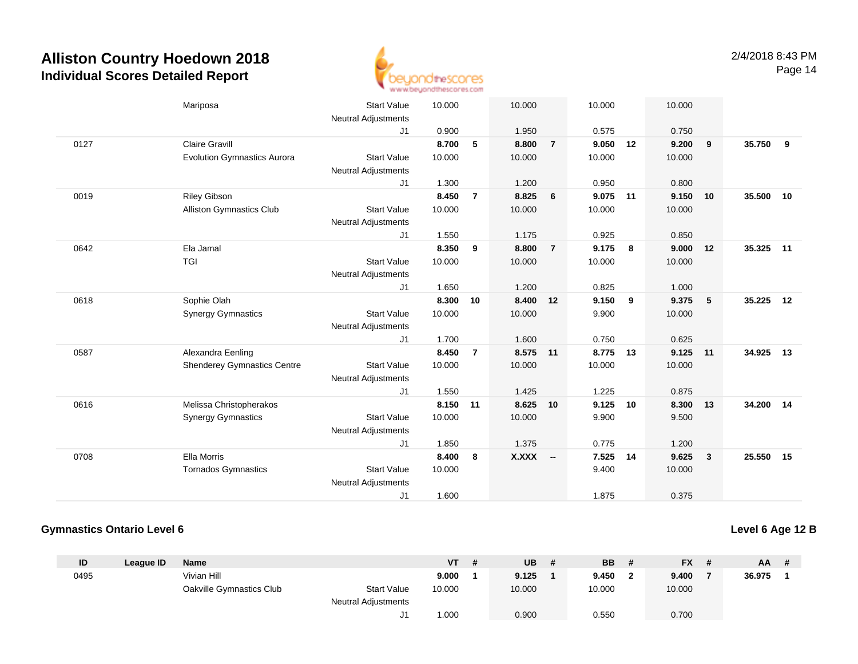

|      | Mariposa                           | <b>Start Value</b>         | 10.000 |                | 10.000       |                | 10.000   |     | 10.000   |              |        |    |
|------|------------------------------------|----------------------------|--------|----------------|--------------|----------------|----------|-----|----------|--------------|--------|----|
|      |                                    | Neutral Adjustments        |        |                |              |                |          |     |          |              |        |    |
|      |                                    | J <sub>1</sub>             | 0.900  |                | 1.950        |                | 0.575    |     | 0.750    |              |        |    |
| 0127 | <b>Claire Gravill</b>              |                            | 8.700  | 5              | 8.800        | $\overline{7}$ | 9.050    | 12  | 9.200    | 9            | 35.750 | 9  |
|      | <b>Evolution Gymnastics Aurora</b> | <b>Start Value</b>         | 10.000 |                | 10.000       |                | 10.000   |     | 10.000   |              |        |    |
|      |                                    | <b>Neutral Adjustments</b> |        |                |              |                |          |     |          |              |        |    |
|      |                                    | J <sub>1</sub>             | 1.300  |                | 1.200        |                | 0.950    |     | 0.800    |              |        |    |
| 0019 | <b>Riley Gibson</b>                |                            | 8.450  | $\overline{7}$ | 8.825        | 6              | 9.075 11 |     | 9.150    | 10           | 35.500 | 10 |
|      | Alliston Gymnastics Club           | <b>Start Value</b>         | 10.000 |                | 10.000       |                | 10.000   |     | 10.000   |              |        |    |
|      |                                    | <b>Neutral Adjustments</b> |        |                |              |                |          |     |          |              |        |    |
|      |                                    | J1                         | 1.550  |                | 1.175        |                | 0.925    |     | 0.850    |              |        |    |
| 0642 | Ela Jamal                          |                            | 8.350  | 9              | 8.800        | $\overline{7}$ | 9.175    | 8   | 9.000    | 12           | 35.325 | 11 |
|      | <b>TGI</b>                         | <b>Start Value</b>         | 10.000 |                | 10.000       |                | 10.000   |     | 10.000   |              |        |    |
|      |                                    | <b>Neutral Adjustments</b> |        |                |              |                |          |     |          |              |        |    |
|      |                                    | J1                         | 1.650  |                | 1.200        |                | 0.825    |     | 1.000    |              |        |    |
| 0618 | Sophie Olah                        |                            | 8.300  | 10             | 8.400 12     |                | 9.150    | - 9 | 9.375    | $-5$         | 35.225 | 12 |
|      | <b>Synergy Gymnastics</b>          | <b>Start Value</b>         | 10.000 |                | 10.000       |                | 9.900    |     | 10.000   |              |        |    |
|      |                                    | <b>Neutral Adjustments</b> |        |                |              |                |          |     |          |              |        |    |
|      |                                    | J1                         | 1.700  |                | 1.600        |                | 0.750    |     | 0.625    |              |        |    |
| 0587 | Alexandra Eenling                  |                            | 8.450  | $\overline{7}$ | 8.575 11     |                | 8.775 13 |     | 9.125 11 |              | 34.925 | 13 |
|      | Shenderey Gymnastics Centre        | <b>Start Value</b>         | 10.000 |                | 10.000       |                | 10.000   |     | 10.000   |              |        |    |
|      |                                    | <b>Neutral Adjustments</b> |        |                |              |                |          |     |          |              |        |    |
|      |                                    | J <sub>1</sub>             | 1.550  |                | 1.425        |                | 1.225    |     | 0.875    |              |        |    |
| 0616 | Melissa Christopherakos            |                            | 8.150  | 11             | 8.625        | 10             | 9.125    | 10  | 8.300 13 |              | 34.200 | 14 |
|      | <b>Synergy Gymnastics</b>          | <b>Start Value</b>         | 10.000 |                | 10.000       |                | 9.900    |     | 9.500    |              |        |    |
|      |                                    | <b>Neutral Adjustments</b> |        |                |              |                |          |     |          |              |        |    |
|      |                                    | J1                         | 1.850  |                | 1.375        |                | 0.775    |     | 1.200    |              |        |    |
| 0708 | Ella Morris                        |                            | 8.400  | 8              | <b>X.XXX</b> | $\sim$         | 7.525    | 14  | 9.625    | $\mathbf{3}$ | 25.550 | 15 |
|      | <b>Tornados Gymnastics</b>         | <b>Start Value</b>         | 10.000 |                |              |                | 9.400    |     | 10.000   |              |        |    |
|      |                                    | <b>Neutral Adjustments</b> |        |                |              |                |          |     |          |              |        |    |
|      |                                    | J1                         | 1.600  |                |              |                | 1.875    |     | 0.375    |              |        |    |
|      |                                    |                            |        |                |              |                |          |     |          |              |        |    |

### **Gymnastics Ontario Level 6**

### **Level 6 Age 12 B**

| ID   | League ID | Name                     |                            | VT     | # | <b>UB</b> | <b>BB</b> |   | <b>FX</b> | AA     | # |
|------|-----------|--------------------------|----------------------------|--------|---|-----------|-----------|---|-----------|--------|---|
| 0495 |           | Vivian Hill              |                            | 9.000  |   | 9.125     | 9.450     | ◠ | 9.400     | 36.975 |   |
|      |           | Oakville Gymnastics Club | <b>Start Value</b>         | 10.000 |   | 10.000    | 10.000    |   | 10.000    |        |   |
|      |           |                          | <b>Neutral Adjustments</b> |        |   |           |           |   |           |        |   |
|      |           |                          | J1                         | .000   |   | 0.900     | 0.550     |   | 0.700     |        |   |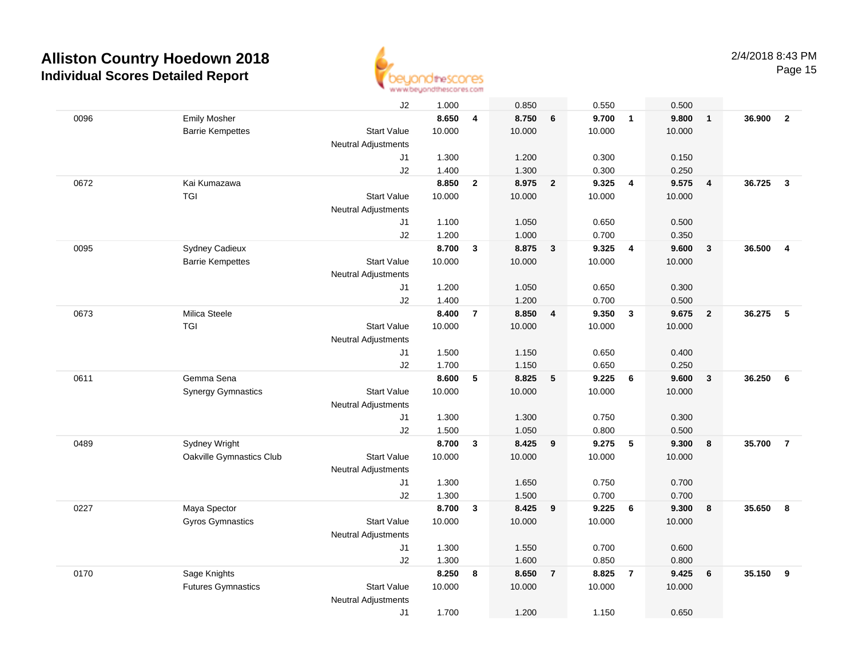

|      |                           | J2                         | 1.000  |                | 0.850  |                         | 0.550  |                | 0.500  |                |        |                         |
|------|---------------------------|----------------------------|--------|----------------|--------|-------------------------|--------|----------------|--------|----------------|--------|-------------------------|
| 0096 | <b>Emily Mosher</b>       |                            | 8.650  | 4              | 8.750  | 6                       | 9.700  | $\overline{1}$ | 9.800  | $\mathbf{1}$   | 36.900 | $\overline{2}$          |
|      | <b>Barrie Kempettes</b>   | <b>Start Value</b>         | 10.000 |                | 10.000 |                         | 10.000 |                | 10.000 |                |        |                         |
|      |                           | Neutral Adjustments        |        |                |        |                         |        |                |        |                |        |                         |
|      |                           | J1                         | 1.300  |                | 1.200  |                         | 0.300  |                | 0.150  |                |        |                         |
|      |                           | J2                         | 1.400  |                | 1.300  |                         | 0.300  |                | 0.250  |                |        |                         |
| 0672 | Kai Kumazawa              |                            | 8.850  | $\mathbf{2}$   | 8.975  | $\overline{\mathbf{2}}$ | 9.325  | $\overline{4}$ | 9.575  | $\overline{4}$ | 36.725 | $\overline{\mathbf{3}}$ |
|      | TGI                       | <b>Start Value</b>         | 10.000 |                | 10.000 |                         | 10.000 |                | 10.000 |                |        |                         |
|      |                           | <b>Neutral Adjustments</b> |        |                |        |                         |        |                |        |                |        |                         |
|      |                           | J1                         | 1.100  |                | 1.050  |                         | 0.650  |                | 0.500  |                |        |                         |
|      |                           | J2                         | 1.200  |                | 1.000  |                         | 0.700  |                | 0.350  |                |        |                         |
| 0095 | Sydney Cadieux            |                            | 8.700  | 3              | 8.875  | $\overline{\mathbf{3}}$ | 9.325  | $\overline{4}$ | 9.600  | $\mathbf{3}$   | 36.500 | $\overline{4}$          |
|      | <b>Barrie Kempettes</b>   | <b>Start Value</b>         | 10.000 |                | 10.000 |                         | 10.000 |                | 10.000 |                |        |                         |
|      |                           | Neutral Adjustments        |        |                |        |                         |        |                |        |                |        |                         |
|      |                           | J1                         | 1.200  |                | 1.050  |                         | 0.650  |                | 0.300  |                |        |                         |
|      |                           | J2                         | 1.400  |                | 1.200  |                         | 0.700  |                | 0.500  |                |        |                         |
| 0673 | Milica Steele             |                            | 8.400  | $\overline{7}$ | 8.850  | $\overline{4}$          | 9.350  | $\mathbf{3}$   | 9.675  | $\overline{2}$ | 36.275 | - 5                     |
|      | <b>TGI</b>                | <b>Start Value</b>         | 10.000 |                | 10.000 |                         | 10.000 |                | 10.000 |                |        |                         |
|      |                           | <b>Neutral Adjustments</b> |        |                |        |                         |        |                |        |                |        |                         |
|      |                           | J1                         | 1.500  |                | 1.150  |                         | 0.650  |                | 0.400  |                |        |                         |
|      |                           | J2                         | 1.700  |                | 1.150  |                         | 0.650  |                | 0.250  |                |        |                         |
| 0611 | Gemma Sena                |                            | 8.600  | 5              | 8.825  | 5                       | 9.225  | 6              | 9.600  | $\mathbf{3}$   | 36.250 | 6                       |
|      | <b>Synergy Gymnastics</b> | <b>Start Value</b>         | 10.000 |                | 10.000 |                         | 10.000 |                | 10.000 |                |        |                         |
|      |                           | <b>Neutral Adjustments</b> |        |                |        |                         |        |                |        |                |        |                         |
|      |                           | J1                         | 1.300  |                | 1.300  |                         | 0.750  |                | 0.300  |                |        |                         |
|      |                           | J2                         | 1.500  |                | 1.050  |                         | 0.800  |                | 0.500  |                |        |                         |
| 0489 | Sydney Wright             |                            | 8.700  | $\mathbf{3}$   | 8.425  | 9                       | 9.275  | 5              | 9.300  | 8              | 35.700 | $\overline{7}$          |
|      | Oakville Gymnastics Club  | <b>Start Value</b>         | 10.000 |                | 10.000 |                         | 10.000 |                | 10.000 |                |        |                         |
|      |                           | <b>Neutral Adjustments</b> |        |                |        |                         |        |                |        |                |        |                         |
|      |                           | J1                         | 1.300  |                | 1.650  |                         | 0.750  |                | 0.700  |                |        |                         |
|      |                           | J2                         | 1.300  |                | 1.500  |                         | 0.700  |                | 0.700  |                |        |                         |
| 0227 | Maya Spector              |                            | 8.700  | $\mathbf{3}$   | 8.425  | 9                       | 9.225  | 6              | 9.300  | 8              | 35.650 | 8                       |
|      | Gyros Gymnastics          | <b>Start Value</b>         | 10.000 |                | 10.000 |                         | 10.000 |                | 10.000 |                |        |                         |
|      |                           | <b>Neutral Adjustments</b> |        |                |        |                         |        |                |        |                |        |                         |
|      |                           | J1                         | 1.300  |                | 1.550  |                         | 0.700  |                | 0.600  |                |        |                         |
|      |                           | J2                         | 1.300  |                | 1.600  |                         | 0.850  |                | 0.800  |                |        |                         |
| 0170 | Sage Knights              |                            | 8.250  | 8              | 8.650  | $\overline{7}$          | 8.825  | $\overline{7}$ | 9.425  | 6              | 35.150 | 9                       |
|      | <b>Futures Gymnastics</b> | <b>Start Value</b>         | 10.000 |                | 10.000 |                         | 10.000 |                | 10.000 |                |        |                         |
|      |                           | <b>Neutral Adjustments</b> |        |                |        |                         |        |                |        |                |        |                         |
|      |                           | J1                         | 1.700  |                | 1.200  |                         | 1.150  |                | 0.650  |                |        |                         |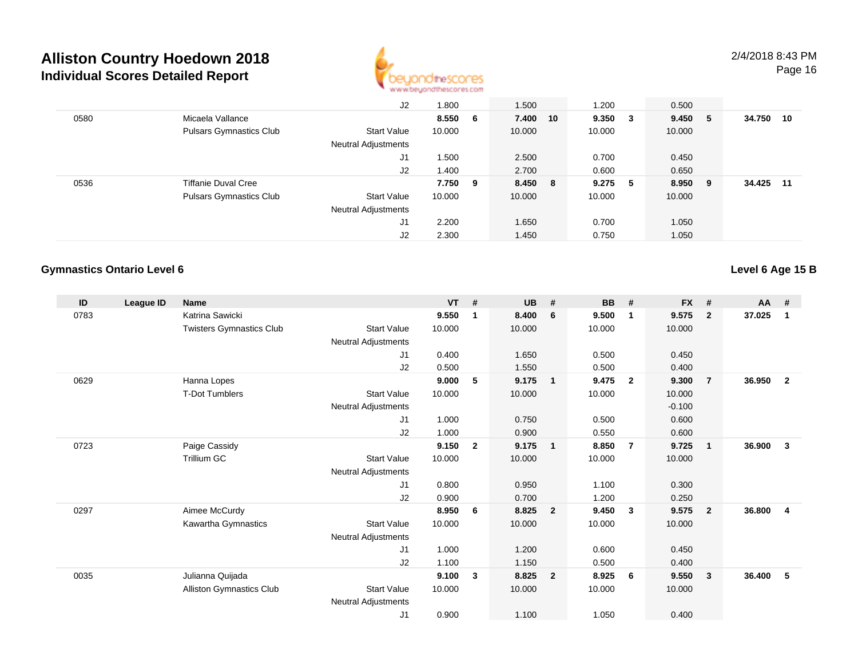

|      |                                | J2                  | 1.800  |   | 1.500   |    | 1.200  |     | 0.500  |   |        |    |
|------|--------------------------------|---------------------|--------|---|---------|----|--------|-----|--------|---|--------|----|
| 0580 | Micaela Vallance               |                     | 8.550  | 6 | 7.400   | 10 | 9.350  | - 3 | 9.450  | 5 | 34.750 | 10 |
|      | <b>Pulsars Gymnastics Club</b> | <b>Start Value</b>  | 10.000 |   | 10.000  |    | 10.000 |     | 10.000 |   |        |    |
|      |                                | Neutral Adjustments |        |   |         |    |        |     |        |   |        |    |
|      |                                | J1                  | 1.500  |   | 2.500   |    | 0.700  |     | 0.450  |   |        |    |
|      |                                | J2                  | 1.400  |   | 2.700   |    | 0.600  |     | 0.650  |   |        |    |
| 0536 | <b>Tiffanie Duval Cree</b>     |                     | 7.750  | 9 | 8.450 8 |    | 9.275  | - 5 | 8.950  | 9 | 34.425 | 11 |
|      | <b>Pulsars Gymnastics Club</b> | <b>Start Value</b>  | 10.000 |   | 10.000  |    | 10.000 |     | 10.000 |   |        |    |
|      |                                | Neutral Adjustments |        |   |         |    |        |     |        |   |        |    |
|      |                                | J1                  | 2.200  |   | 1.650   |    | 0.700  |     | 1.050  |   |        |    |
|      |                                | J2                  | 2.300  |   | 1.450   |    | 0.750  |     | 1.050  |   |        |    |

### **Gymnastics Ontario Level 6**

**Level 6 Age 15 B**

| ID   | League ID | <b>Name</b>                     |                            | <b>VT</b> | #            | <b>UB</b> | #                       | BB     | #                       | <b>FX</b> | #              | $AA$ # |                |
|------|-----------|---------------------------------|----------------------------|-----------|--------------|-----------|-------------------------|--------|-------------------------|-----------|----------------|--------|----------------|
| 0783 |           | Katrina Sawicki                 |                            | 9.550     | 1            | 8.400     | 6                       | 9.500  | $\mathbf 1$             | 9.575     | $\overline{2}$ | 37.025 | 1              |
|      |           | <b>Twisters Gymnastics Club</b> | <b>Start Value</b>         | 10.000    |              | 10.000    |                         | 10.000 |                         | 10.000    |                |        |                |
|      |           |                                 | <b>Neutral Adjustments</b> |           |              |           |                         |        |                         |           |                |        |                |
|      |           |                                 | J1                         | 0.400     |              | 1.650     |                         | 0.500  |                         | 0.450     |                |        |                |
|      |           |                                 | J <sub>2</sub>             | 0.500     |              | 1.550     |                         | 0.500  |                         | 0.400     |                |        |                |
| 0629 |           | Hanna Lopes                     |                            | 9.000     | 5            | 9.175     | $\overline{\mathbf{1}}$ | 9.475  | $\overline{\mathbf{2}}$ | 9.300     | $\overline{7}$ | 36.950 | $\overline{2}$ |
|      |           | <b>T-Dot Tumblers</b>           | <b>Start Value</b>         | 10.000    |              | 10.000    |                         | 10.000 |                         | 10.000    |                |        |                |
|      |           |                                 | Neutral Adjustments        |           |              |           |                         |        |                         | $-0.100$  |                |        |                |
|      |           |                                 | J <sub>1</sub>             | 1.000     |              | 0.750     |                         | 0.500  |                         | 0.600     |                |        |                |
|      |           |                                 | J <sub>2</sub>             | 1.000     |              | 0.900     |                         | 0.550  |                         | 0.600     |                |        |                |
| 0723 |           | Paige Cassidy                   |                            | 9.150     | $\mathbf{2}$ | 9.175     | $\overline{1}$          | 8.850  | $\overline{7}$          | 9.725     | $\mathbf{1}$   | 36.900 | 3              |
|      |           | Trillium GC                     | <b>Start Value</b>         | 10.000    |              | 10.000    |                         | 10.000 |                         | 10.000    |                |        |                |
|      |           |                                 | <b>Neutral Adjustments</b> |           |              |           |                         |        |                         |           |                |        |                |
|      |           |                                 | J <sub>1</sub>             | 0.800     |              | 0.950     |                         | 1.100  |                         | 0.300     |                |        |                |
|      |           |                                 | J <sub>2</sub>             | 0.900     |              | 0.700     |                         | 1.200  |                         | 0.250     |                |        |                |
| 0297 |           | Aimee McCurdy                   |                            | 8.950     | 6            | 8.825     | $\overline{\mathbf{2}}$ | 9.450  | $\mathbf{3}$            | 9.575     | $\overline{2}$ | 36.800 | $\overline{4}$ |
|      |           | Kawartha Gymnastics             | <b>Start Value</b>         | 10.000    |              | 10.000    |                         | 10.000 |                         | 10.000    |                |        |                |
|      |           |                                 | <b>Neutral Adjustments</b> |           |              |           |                         |        |                         |           |                |        |                |
|      |           |                                 | J <sub>1</sub>             | 1.000     |              | 1.200     |                         | 0.600  |                         | 0.450     |                |        |                |
|      |           |                                 | J <sub>2</sub>             | 1.100     |              | 1.150     |                         | 0.500  |                         | 0.400     |                |        |                |
| 0035 |           | Julianna Quijada                |                            | 9.100     | 3            | 8.825     | $\overline{\mathbf{2}}$ | 8.925  | - 6                     | 9.550     | 3              | 36.400 | 5              |
|      |           | Alliston Gymnastics Club        | <b>Start Value</b>         | 10.000    |              | 10.000    |                         | 10.000 |                         | 10.000    |                |        |                |
|      |           |                                 | <b>Neutral Adjustments</b> |           |              |           |                         |        |                         |           |                |        |                |
|      |           |                                 | J1                         | 0.900     |              | 1.100     |                         | 1.050  |                         | 0.400     |                |        |                |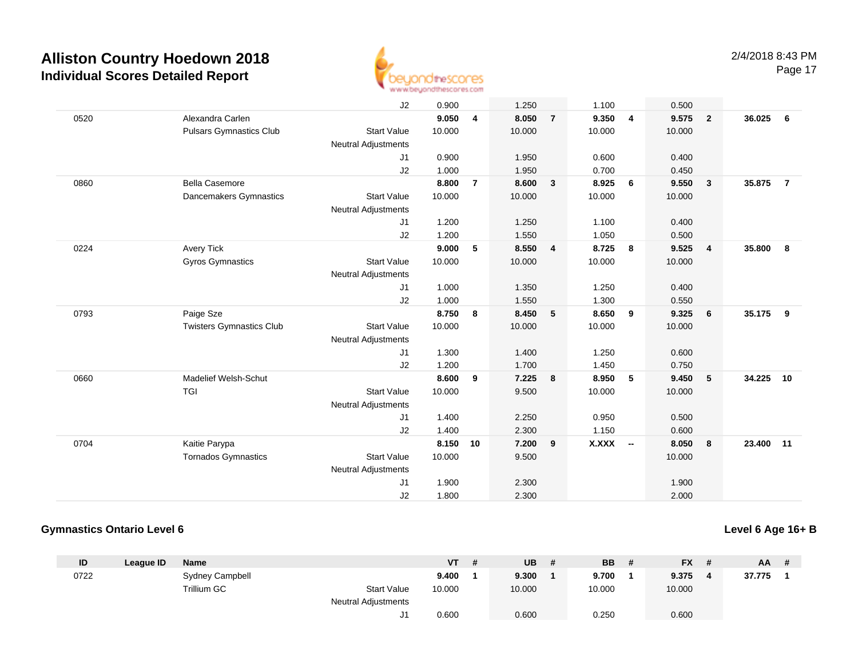

|      |                                 | J2                         | 0.900  |                | 1.250  |                | 1.100        |                          | 0.500  |                         |        |                |
|------|---------------------------------|----------------------------|--------|----------------|--------|----------------|--------------|--------------------------|--------|-------------------------|--------|----------------|
| 0520 | Alexandra Carlen                |                            | 9.050  | 4              | 8.050  | $\overline{7}$ | 9.350        | $\overline{4}$           | 9.575  | $\overline{\mathbf{2}}$ | 36.025 | 6              |
|      | <b>Pulsars Gymnastics Club</b>  | <b>Start Value</b>         | 10.000 |                | 10.000 |                | 10.000       |                          | 10.000 |                         |        |                |
|      |                                 | <b>Neutral Adjustments</b> |        |                |        |                |              |                          |        |                         |        |                |
|      |                                 | J1                         | 0.900  |                | 1.950  |                | 0.600        |                          | 0.400  |                         |        |                |
|      |                                 | J2                         | 1.000  |                | 1.950  |                | 0.700        |                          | 0.450  |                         |        |                |
| 0860 | <b>Bella Casemore</b>           |                            | 8.800  | $\overline{7}$ | 8.600  | $\mathbf{3}$   | 8.925        | 6                        | 9.550  | $\overline{\mathbf{3}}$ | 35.875 | $\overline{7}$ |
|      | Dancemakers Gymnastics          | <b>Start Value</b>         | 10.000 |                | 10.000 |                | 10.000       |                          | 10.000 |                         |        |                |
|      |                                 | <b>Neutral Adjustments</b> |        |                |        |                |              |                          |        |                         |        |                |
|      |                                 | J1                         | 1.200  |                | 1.250  |                | 1.100        |                          | 0.400  |                         |        |                |
|      |                                 | J2                         | 1.200  |                | 1.550  |                | 1.050        |                          | 0.500  |                         |        |                |
| 0224 | <b>Avery Tick</b>               |                            | 9.000  | 5              | 8.550  | 4              | 8.725        | 8                        | 9.525  | $\overline{4}$          | 35,800 | 8              |
|      | <b>Gyros Gymnastics</b>         | <b>Start Value</b>         | 10.000 |                | 10.000 |                | 10.000       |                          | 10.000 |                         |        |                |
|      |                                 | <b>Neutral Adjustments</b> |        |                |        |                |              |                          |        |                         |        |                |
|      |                                 | J1                         | 1.000  |                | 1.350  |                | 1.250        |                          | 0.400  |                         |        |                |
|      |                                 | J2                         | 1.000  |                | 1.550  |                | 1.300        |                          | 0.550  |                         |        |                |
| 0793 | Paige Sze                       |                            | 8.750  | 8              | 8.450  | 5              | 8.650        | 9                        | 9.325  | 6                       | 35.175 | 9              |
|      | <b>Twisters Gymnastics Club</b> | <b>Start Value</b>         | 10.000 |                | 10.000 |                | 10.000       |                          | 10.000 |                         |        |                |
|      |                                 | <b>Neutral Adjustments</b> |        |                |        |                |              |                          |        |                         |        |                |
|      |                                 | J1                         | 1.300  |                | 1.400  |                | 1.250        |                          | 0.600  |                         |        |                |
|      |                                 | J2                         | 1.200  |                | 1.700  |                | 1.450        |                          | 0.750  |                         |        |                |
| 0660 | <b>Madelief Welsh-Schut</b>     |                            | 8.600  | 9              | 7.225  | 8              | 8.950        | 5                        | 9.450  | 5                       | 34.225 | 10             |
|      | <b>TGI</b>                      | <b>Start Value</b>         | 10.000 |                | 9.500  |                | 10.000       |                          | 10.000 |                         |        |                |
|      |                                 | <b>Neutral Adjustments</b> |        |                |        |                |              |                          |        |                         |        |                |
|      |                                 | J1                         | 1.400  |                | 2.250  |                | 0.950        |                          | 0.500  |                         |        |                |
|      |                                 | J2                         | 1.400  |                | 2.300  |                | 1.150        |                          | 0.600  |                         |        |                |
| 0704 | Kaitie Parypa                   |                            | 8.150  | 10             | 7.200  | 9              | <b>X.XXX</b> | $\overline{\phantom{a}}$ | 8.050  | 8                       | 23,400 | 11             |
|      | <b>Tornados Gymnastics</b>      | <b>Start Value</b>         | 10.000 |                | 9.500  |                |              |                          | 10.000 |                         |        |                |
|      |                                 | <b>Neutral Adjustments</b> |        |                |        |                |              |                          |        |                         |        |                |
|      |                                 | J1                         | 1.900  |                | 2.300  |                |              |                          | 1.900  |                         |        |                |
|      |                                 | J2                         | 1.800  |                | 2.300  |                |              |                          | 2.000  |                         |        |                |

### **Gymnastics Ontario Level 6**

### **Level 6 Age 16+ B**

| ID   | League ID | <b>Name</b>     |                            | VT     | <b>UB</b> | <b>BB</b> | <b>FX</b><br>- # | <b>AA</b> | -# |
|------|-----------|-----------------|----------------------------|--------|-----------|-----------|------------------|-----------|----|
| 0722 |           | Sydney Campbell |                            | 9.400  | 9.300     | 9.700     | 9.375            | 37.775    |    |
|      |           | Trillium GC     | <b>Start Value</b>         | 10.000 | 10.000    | 10.000    | 10.000           |           |    |
|      |           |                 | <b>Neutral Adjustments</b> |        |           |           |                  |           |    |
|      |           |                 | J1.                        | 0.600  | 0.600     | 0.250     | 0.600            |           |    |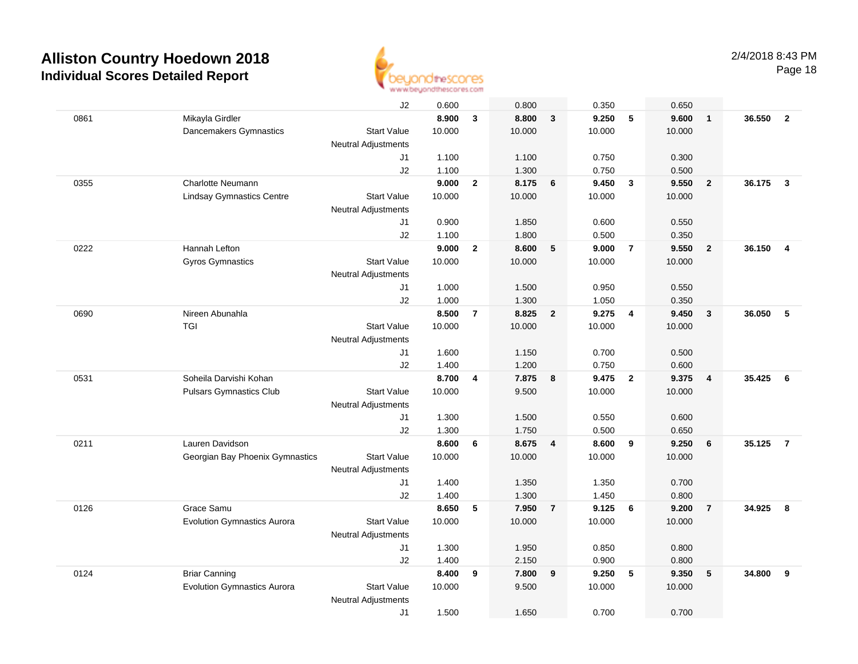

|      |                                    | J2                         | 0.600  |                | 0.800  |                | 0.350  |                         | 0.650  |                         |        |                         |
|------|------------------------------------|----------------------------|--------|----------------|--------|----------------|--------|-------------------------|--------|-------------------------|--------|-------------------------|
| 0861 | Mikayla Girdler                    |                            | 8.900  | 3              | 8.800  | $\mathbf{3}$   | 9.250  | 5                       | 9.600  | $\mathbf{1}$            | 36.550 | $\overline{\mathbf{2}}$ |
|      | Dancemakers Gymnastics             | <b>Start Value</b>         | 10.000 |                | 10.000 |                | 10.000 |                         | 10.000 |                         |        |                         |
|      |                                    | <b>Neutral Adjustments</b> |        |                |        |                |        |                         |        |                         |        |                         |
|      |                                    | J1                         | 1.100  |                | 1.100  |                | 0.750  |                         | 0.300  |                         |        |                         |
|      |                                    | J2                         | 1.100  |                | 1.300  |                | 0.750  |                         | 0.500  |                         |        |                         |
| 0355 | Charlotte Neumann                  |                            | 9.000  | $\mathbf{2}$   | 8.175  | 6              | 9.450  | $\mathbf{3}$            | 9.550  | $\overline{2}$          | 36.175 | $\mathbf{3}$            |
|      | <b>Lindsay Gymnastics Centre</b>   | <b>Start Value</b>         | 10.000 |                | 10.000 |                | 10.000 |                         | 10.000 |                         |        |                         |
|      |                                    | Neutral Adjustments        |        |                |        |                |        |                         |        |                         |        |                         |
|      |                                    | J1                         | 0.900  |                | 1.850  |                | 0.600  |                         | 0.550  |                         |        |                         |
|      |                                    | J2                         | 1.100  |                | 1.800  |                | 0.500  |                         | 0.350  |                         |        |                         |
| 0222 | Hannah Lefton                      |                            | 9.000  | $\overline{2}$ | 8.600  | 5              | 9.000  | $\overline{7}$          | 9.550  | $\overline{2}$          | 36.150 | 4                       |
|      | <b>Gyros Gymnastics</b>            | <b>Start Value</b>         | 10.000 |                | 10.000 |                | 10.000 |                         | 10.000 |                         |        |                         |
|      |                                    | <b>Neutral Adjustments</b> |        |                |        |                |        |                         |        |                         |        |                         |
|      |                                    | J1                         | 1.000  |                | 1.500  |                | 0.950  |                         | 0.550  |                         |        |                         |
|      |                                    | J2                         | 1.000  |                | 1.300  |                | 1.050  |                         | 0.350  |                         |        |                         |
| 0690 | Nireen Abunahla                    |                            | 8.500  | $\overline{7}$ | 8.825  | $\overline{2}$ | 9.275  | $\overline{4}$          | 9.450  | $\mathbf{3}$            | 36.050 | 5                       |
|      | <b>TGI</b>                         | <b>Start Value</b>         | 10.000 |                | 10.000 |                | 10.000 |                         | 10.000 |                         |        |                         |
|      |                                    | <b>Neutral Adjustments</b> |        |                |        |                |        |                         |        |                         |        |                         |
|      |                                    | J1                         | 1.600  |                | 1.150  |                | 0.700  |                         | 0.500  |                         |        |                         |
|      |                                    | J2                         | 1.400  |                | 1.200  |                | 0.750  |                         | 0.600  |                         |        |                         |
| 0531 | Soheila Darvishi Kohan             |                            | 8.700  | 4              | 7.875  | 8              | 9.475  | $\overline{\mathbf{2}}$ | 9.375  | $\overline{\mathbf{4}}$ | 35.425 | 6                       |
|      | <b>Pulsars Gymnastics Club</b>     | <b>Start Value</b>         | 10.000 |                | 9.500  |                | 10.000 |                         | 10.000 |                         |        |                         |
|      |                                    | <b>Neutral Adjustments</b> |        |                |        |                |        |                         |        |                         |        |                         |
|      |                                    | J1                         | 1.300  |                | 1.500  |                | 0.550  |                         | 0.600  |                         |        |                         |
|      |                                    | J2                         | 1.300  |                | 1.750  |                | 0.500  |                         | 0.650  |                         |        |                         |
| 0211 | Lauren Davidson                    |                            | 8.600  | 6              | 8.675  | $\overline{4}$ | 8.600  | 9                       | 9.250  | 6                       | 35.125 | $\overline{7}$          |
|      | Georgian Bay Phoenix Gymnastics    | <b>Start Value</b>         | 10.000 |                | 10.000 |                | 10.000 |                         | 10.000 |                         |        |                         |
|      |                                    | <b>Neutral Adjustments</b> |        |                |        |                |        |                         |        |                         |        |                         |
|      |                                    | J1                         | 1.400  |                | 1.350  |                | 1.350  |                         | 0.700  |                         |        |                         |
|      |                                    | J2                         | 1.400  |                | 1.300  |                | 1.450  |                         | 0.800  |                         |        |                         |
| 0126 | Grace Samu                         |                            | 8.650  | 5              | 7.950  | $\overline{7}$ | 9.125  | 6                       | 9.200  | $\overline{7}$          | 34.925 | 8                       |
|      | <b>Evolution Gymnastics Aurora</b> | <b>Start Value</b>         | 10.000 |                | 10.000 |                | 10.000 |                         | 10.000 |                         |        |                         |
|      |                                    | <b>Neutral Adjustments</b> |        |                |        |                |        |                         |        |                         |        |                         |
|      |                                    | J1                         | 1.300  |                | 1.950  |                | 0.850  |                         | 0.800  |                         |        |                         |
|      |                                    | J2                         | 1.400  |                | 2.150  |                | 0.900  |                         | 0.800  |                         |        |                         |
| 0124 | <b>Briar Canning</b>               |                            | 8.400  | 9              | 7.800  | 9              | 9.250  | 5                       | 9.350  | $\sqrt{5}$              | 34.800 | 9                       |
|      | <b>Evolution Gymnastics Aurora</b> | <b>Start Value</b>         | 10.000 |                | 9.500  |                | 10.000 |                         | 10.000 |                         |        |                         |
|      |                                    | <b>Neutral Adjustments</b> |        |                |        |                |        |                         |        |                         |        |                         |
|      |                                    | J1                         | 1.500  |                | 1.650  |                | 0.700  |                         | 0.700  |                         |        |                         |
|      |                                    |                            |        |                |        |                |        |                         |        |                         |        |                         |